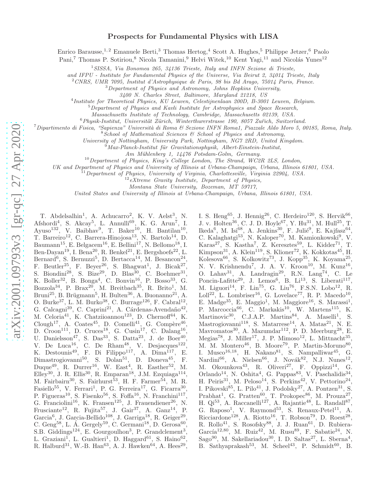# Prospects for Fundamental Physics with LISA

Enrico Barausse,<sup>1,2</sup> Emanuele Berti,<sup>3</sup> Thomas Hertog,<sup>4</sup> Scott A. Hughes,<sup>5</sup> Philippe Jetzer,<sup>6</sup> Paolo

Pani,<sup>7</sup> Thomas P. Sotiriou,<sup>8</sup> Nicola Tamanini,<sup>9</sup> Helvi Witek,<sup>10</sup> Kent Yagi,<sup>11</sup> and Nicolás Yunes<sup>12</sup>

<sup>1</sup>*SISSA, Via Bonomea 265, 34136 Trieste, Italy and INFN Sezione di Trieste,*

*and IFPU - Institute for Fundamental Physics of the Universe, Via Beirut 2, 34014 Trieste, Italy*

<sup>2</sup>*CNRS, UMR 7095, Institut d'Astrophysique de Paris, 98 bis Bd Arago, 75014 Paris, France.*

<sup>3</sup>*Department of Physics and Astronomy, Johns Hopkins University,*

4 *Institute for Theoretical Physics, KU Leuven, Celestijnenlaan 200D, B-3001 Leuven, Belgium.*

<sup>5</sup>*Department of Physics and Kavli Institute for Astrophysics and Space Research,*

*Massachusetts Institute of Technology, Cambridge, Massachusetts 02139, USA.*

<sup>6</sup> Phusik-Institut, Universität Zürich, Winterthurerstrasse 190, 8057 Zurich, Switzerland.

<sup>7</sup>*Dipartimento di Fisica, "Sapienza" Universit`a di Roma & Sezione INFN Roma1, Piazzale Aldo Moro 5, 00185, Roma, Italy.*

<sup>8</sup>*School of Mathematical Sciences & School of Physics and Astronomy,*

*University of Nottingham, University Park, Nottingham, NG7 2RD, United Kingdom.*

<sup>9</sup>Max-Planck-Institut für Gravitationsphysik, Albert-Einstein-Institut,

*Am M¨uhlenberg 1, 14476 Potsdam-Golm, Germany.*

<sup>10</sup>*Department of Physics, King's College London, The Strand, WC2R 2LS, London,*

*UK and Department of Physics and University of Illinois at Urbana-Champaign, Urbana, Illinois 61801, USA.*

<sup>11</sup>*Department of Physics, University of Virginia, Charlottesville, Virginia 22904, USA.*

<sup>12</sup>*eXtreme Gravity Institute, Department of Physics,*

*Montana State University, Bozeman, MT 59717,*

*United States and University of Illinois at Urbana-Champaign, Urbana, Illinois 61801, USA.*

T. Abdelsalhin<sup>1</sup>, A. Achucarro<sup>2</sup>, K. V. Aelst<sup>3</sup>, N. Afshordi<sup>4</sup>, S. Akcay<sup>5</sup>, L. Annulli<sup>69</sup>, K. G. Arun<sup>7</sup>, I. Ayuso<sup>132</sup>, V. Baibhav<sup>9</sup>, T. Baker<sup>10</sup>, H. Bantilan<sup>10</sup>, T. Barreiro<sup>12</sup>, C. Barrera-Hinojosa<sup>13</sup>, N. Bartolo<sup>14</sup>, D. Baumann<sup>15</sup>, E. Belgacem<sup>16</sup>, E. Bellini<sup>17</sup>, N. Bellomo<sup>18</sup>, I. Ben-Dayan<sup>19</sup>, I. Bena<sup>20</sup>, R. Benkel<sup>21</sup>, E. Bergshoefs<sup>22</sup>, L. Bernard<sup>6</sup>, S. Bernuzzi<sup>5</sup>, D. Bertacca<sup>14</sup>, M. Besancon<sup>24</sup>, F. Beutler<sup>25</sup>, F. Beyer<sup>26</sup>, S. Bhagwat<sup>1</sup>, J. Bicak<sup>27</sup>, S. Biondini<sup>28</sup>, S. Bize<sup>29</sup>, D. Blas<sup>30</sup>, C. Boehmer<sup>31</sup>, K. Boller<sup>32</sup>, B. Bonga<sup>4</sup>, C. Bonvin<sup>16</sup>, P. Bosso<sup>33</sup>, G. Bozzola<sup>34</sup>, P. Brax<sup>20</sup>, M. Breitbach<sup>35</sup>, R. Brito<sup>1</sup>, M. Bruni<sup>25</sup>, B. Brügmann<sup>5</sup>, H. Bulten<sup>36</sup>, A. Buonanno<sup>21</sup>, A. O. Burke<sup>37</sup>, L. M. Burko<sup>38</sup>, C. Burrage<sup>126</sup>, F. Cabral<sup>12</sup>, G. Calcagni<sup>39</sup>, C. Caprini<sup>21</sup>, A. Cárdenas-Avendaño<sup>42</sup>, M. Celoria<sup>41</sup>, K. Chatziioannou<sup>123</sup>, D. Chernoff<sup>44</sup>, K. Clough<sup>17</sup>, A. Coates<sup>45</sup>, D. Comelli<sup>41</sup>, G. Compère<sup>46</sup>, D. Croon<sup>111</sup>, D. Cruces<sup>18</sup>, G. Cusin<sup>17</sup>, C. Dalang<sup>16</sup>, U. Danielsson<sup>47</sup>, S. Das<sup>33</sup>, S. Datta<sup>23</sup>, J. de Boer<sup>40</sup>, V. De Luca<sup>16</sup>, C. De Rham<sup>48</sup>, V. Desjacques<sup>122</sup>, K. Destounis<sup>49</sup>, F. Di Filippo<sup>117</sup>, A. Dima<sup>117</sup>, E. Dimastrogiovanni<sup>50</sup>, S. Dolan<sup>51</sup>, D. Doneva<sup>45</sup>, F. Duque<sup>49</sup>, R. Durrer<sup>16</sup>, W. East<sup>4</sup>, R. Easther<sup>52</sup>, M. Elley<sup>30</sup>, J. R. Ellis<sup>30</sup>, R. Emparan<sup>18</sup>, J.M. Ezquiaga<sup>114</sup>, M. Fairbairn<sup>30</sup>, S. Fairhurst<sup>53</sup>, H. F. Farmer<sup>54</sup>, M. R. Fasiello<sup>55</sup>, V. Ferrari<sup>1</sup>, P. G. Ferreira<sup>17</sup>, G. Ficarra<sup>30</sup>, P. Figueras<sup>10</sup>, S. Fisenko<sup>56</sup>, S. Foffa<sup>16</sup>, N. Franchini<sup>117</sup>, G. Franciolini<sup>16</sup>, K. Fransen<sup>125</sup>, J. Frauendiener<sup>26</sup>, N. Frusciante<sup>12</sup>, R. Fujita<sup>57</sup>, J. Gair<sup>37</sup>, A. Ganz<sup>14</sup>, P. Garcia<sup>6</sup>, J. Garcia-Bellido<sup>108</sup>, J. Garriga<sup>18</sup>, R. Geiger<sup>29</sup>, C. Geng<sup>58</sup>, L. Á. Gergely<sup>59</sup>, C. Germani<sup>18</sup>, D. Gerosa<sup>60</sup>, S.B. Giddings<sup>124</sup>, E. Gourgoulhon<sup>3</sup>, P. Grandclement<sup>3</sup>, L. Graziani<sup>1</sup>, L. Gualtieri<sup>1</sup>, D. Haggard<sup>61</sup>, S. Haino<sup>62</sup>, R. Halburd<sup>31</sup>, W.-B. Han<sup>63</sup>, A. J. Hawken<sup>64</sup>, A. Hees<sup>29</sup>,

I. S. Heng<sup>65</sup>, J. Hennig<sup>26</sup>, C. Herdeiro<sup>120</sup>, S. Hervik<sup>66</sup>, J. v. Holten<sup>36</sup>, C. J. D. Hoyle<sup>67</sup>, Y. Hu<sup>31</sup>, M. Hull<sup>25</sup>, T. Ikeda<sup>6</sup>, M. Isi<sup>68</sup>, A. Jenkins<sup>30</sup>, F. Julié<sup>9</sup>, E. Kajfasz<sup>64</sup>, C. Kalaghatgi<sup>53</sup>, N. Kaloper<sup>70</sup>, M. Kamionkowski<sup>9</sup>, V. Karas<sup>27</sup>, S. Kastha<sup>7</sup>, Z. Keresztes<sup>59</sup>, L. Kidder<sup>71</sup>, T. Kimpson<sup>31</sup>, A. Klein<sup>119</sup>, S. Klioner<sup>72</sup>, K. Kokkotas<sup>45</sup>, H. Kolesova<sup>66</sup>, S. Kolkowitz<sup>73</sup>, J. Kopp<sup>35</sup>, K. Koyama<sup>25</sup>, N. V. Krishnendu<sup>7</sup>, J. A. V. Kroon<sup>10</sup>, M. Kunz<sup>16</sup>, O. Lahav<sup>31</sup>, A. Landragin<sup>29</sup>, R.N. Lang<sup>74</sup>, C. Le Poncin-Lafitte<sup>29</sup>, J. Lemos<sup>6</sup>, B. Li<sup>13</sup>, S. Liberati<sup>117</sup>, M. Liguori<sup>14</sup>, F. Lin<sup>75</sup>, G. Liu<sup>76</sup>, F.S.N. Lobo<sup>12</sup>, R. Loll<sup>22</sup>, L. Lombriser<sup>16</sup>, G. Lovelace<sup>77</sup>, R. P. Macedo<sup>10</sup>, E. Madge<sup>35</sup>, E. Maggio<sup>1</sup>, M. Maggiore<sup>16</sup>, S. Marassi<sup>1</sup>, P. Marcoccia<sup>66</sup>, C. Markakis<sup>10</sup>, W. Martens<sup>115</sup>, K. Martinovic<sup>30</sup>, C.J.A.P. Martins<sup>84</sup>, A. Maselli<sup>1</sup>, S. Mastrogiovanni<sup>118</sup>, S. Matarrese<sup>14</sup>, A. Matas<sup>21</sup>, N. E. Mavromatos<sup>30</sup>, A. Mazumdar<sup>112</sup>, P. D. Meerburg<sup>28</sup>, E.  $\text{Megias}^{78}$ , J. Miller<sup>17</sup>, J. P. Mimoso<sup>12</sup>, L. Mittnacht<sup>35</sup>, M. M. Montero<sup>46</sup>, B. Moore<sup>79</sup>, P. Martin-Moruno<sup>80</sup>, I. Musco<sup>16,18</sup>, H. Nakano<sup>81</sup>, S. Nampalliwar<sup>45</sup>, G. Nardini<sup>66</sup>, A. Nielsen<sup>66</sup>, J. Novák<sup>82</sup>, N.J. Nunes<sup>12</sup>, M. Okounkova<sup>43</sup>, R. Oliveri<sup>27</sup>, F. Oppizzi<sup>14</sup>, G. Orlando<sup>14</sup>, N. Oshita<sup>4</sup>, G. Pappas<sup>83</sup>, V. Paschalidis<sup>34</sup>, H. Peiris<sup>31</sup>, M. Peloso<sup>14</sup>, S. Perkins<sup>42</sup>, V. Pettorino<sup>24</sup>, I. Pikovski<sup>85</sup>, L. Pilo<sup>41</sup>, J. Podolsky<sup>27</sup>, A. Pontzen<sup>31</sup>, S. Prabhat<sup>1</sup>, G. Pratten<sup>60</sup>, T. Prokopec<sup>86</sup>, M. Prouza<sup>27</sup>, H. Qi<sup>53</sup>, A. Raccanelli<sup>127</sup>, A. Rajantie<sup>48</sup>, L. Randall<sup>87</sup>, G. Raposo<sup>1</sup>, V. Raymond<sup>53</sup>, S. Renaux-Petel<sup>11</sup>, A.  $Ricciardone<sup>128</sup>$ , A.  $Riotto<sup>16</sup>$ , T.  $Robson<sup>79</sup>$ , D.  $Roest<sup>28</sup>$ , R. Rollo<sup>41</sup>, S. Rosofsky<sup>88</sup>, J. J. Ruan<sup>61</sup>, D. Rubiera-García<sup>12,80</sup>, M. Ruiz<sup>42</sup>, M. Rusu<sup>89</sup>, F. Sabatie<sup>24</sup>, N. Sago<sup>90</sup>, M. Sakellariadou<sup>30</sup>, I. D. Saltas<sup>27</sup>, L. Sberna<sup>4</sup>, B. Sathyaprakash<sup>53</sup>, M. Scheel<sup>43</sup>, P. Schmidt<sup>60</sup>, B.

*<sup>3400</sup> N. Charles Street, Baltimore, Maryland 21218, US*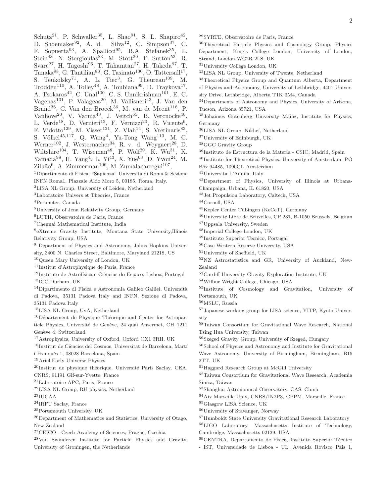Schutz<sup>21</sup>, P. Schwaller<sup>35</sup>, L. Shao<sup>91</sup>, S. L. Shapiro<sup>42</sup>, D. Shoemaker<sup>92</sup>, A. d. Silva<sup>12</sup>, C. Simpson<sup>37</sup>, C. F. Sopuerta<sup>93</sup>, A. Spallicci<sup>95</sup>, B.A. Stefanek<sup>35</sup>, L. Stein<sup>43</sup>, N. Stergioulas<sup>83</sup>, M. Stott<sup>30</sup>, P. Sutton<sup>53</sup>, R. Svarc<sup>27</sup>, H. Tagoshi<sup>96</sup>, T. Tahamtan<sup>27</sup>, H. Takeda<sup>97</sup>, T.  $\text{Tanaka}^{98}$ , G.  $\text{Tantilian}^{83}$ , G.  $\text{Tasinato}^{130}$ , O.  $\text{Tattersall}^{17}$ , S. Teukolsky<sup>71</sup>, A. L. Tiec<sup>3</sup>, G. Theureau<sup>109</sup>, M. Trodden<sup>110</sup>, A. Tolley<sup>48</sup>, A. Toubiana<sup>99</sup>, D. Traykova<sup>17</sup>, A. Tsokaros<sup>42</sup>, C. Unal<sup>100</sup>, C. S. Unnikrishnan<sup>101</sup>, E. C. Vagenas<sup>131</sup>, P. Valageas<sup>20</sup>, M. Vallisneri<sup>43</sup>, J. Van den Brand<sup>36</sup>, C. Van den Broeck<sup>36</sup>, M. van de Meent<sup>116</sup>, P. Vanhove<sup>20</sup>, V. Varma<sup>43</sup>, J. Veitch<sup>65</sup>, B. Vercnocke<sup>46</sup>, L. Verde<sup>18</sup>, D. Vernieri<sup>12</sup>, F. Vernizzi<sup>20</sup>, R. Vicente<sup>6</sup>, F. Vidotto<sup>129</sup>, M. Visser<sup>121</sup>, Z. Vlah<sup>14</sup>, S. Vretinaris<sup>83</sup>, S. Völkel<sup>45,117</sup>, Q. Wang<sup>4</sup>, Yu-Tong Wang<sup>113</sup>, M. C. Werner<sup>102</sup>, J. Westernacher<sup>34</sup>, R. v. d. Weygaert<sup>28</sup>, D. We then  $\mu$ , J. Westernacher , R. v. d. Weygacrondustrian.<br>Wiltshire<sup>104</sup>, T. Wiseman<sup>48</sup>, P. Wolf<sup>29</sup>, K. Wu<sup>31</sup>, K. Yamada<sup>98</sup>, H. Yang<sup>4</sup>, L. Yi<sup>43</sup>, X. Yue<sup>63</sup>, D. Yvon<sup>24</sup>, M.  $\text{Zilhão}^6$ , A. Zimmerman<sup>106</sup>, M. Zumalacarregui<sup>107</sup>, <sup>1</sup>Dipartimento di Fisica, "Sapienza" Università di Roma & Sezione INFN Roma1, Piazzale Aldo Moro 5, 00185, Roma, Italy. <sup>2</sup>LISA NL Group, University of Leiden, Netherland <sup>3</sup>Laboratoire Univers et Theories, France <sup>4</sup>Perimeter, Canada <sup>5</sup>University of Jena Relativity Group, Germany <sup>6</sup>LUTH, Observatoire de Paris, France <sup>7</sup>Chennai Mathematical Institute, India 8 eXtreme Gravity Institute, Montana State University,Illinois Relativity Group, USA <sup>9</sup> Department of Physics and Astronomy, Johns Hopkins University, 3400 N. Charles Street, Baltimore, Maryland 21218, US <sup>10</sup>Queen Mary University of London, UK <sup>11</sup>Institut d'Astrophysique de Paris, France  $12$ Instituto de Astrofísica e Ciências do Espaco, Lisboa, Portugal <sup>13</sup>ICC Durham, UK  $14$ Dipartimento di Fisica e Astronomia Galileo Galilei, Università di Padova, 35131 Padova Italy and INFN, Sezione di Padova, 35131 Padova Italy <sup>15</sup>LISA NL Group, UvA, Netherland  $16D$ épartement de Physique Théorique and Center for Astroparticle Physics, Université de Genève, 24 quai Ansermet, CH-1211 Genève 4, Switzerland <sup>17</sup>Astrophysics, University of Oxford, Oxford OX1 3RH, UK  $18$ Institut de Ciències del Cosmos, Universitat de Barcelona, Martí i Franquès 1, 08028 Barcelona, Spain <sup>19</sup>Ariel Early Universe Physics  $^{20}$ Institut de physique théorique, Université Paris Saclay, CEA, CNRS, 91191 Gif-sur-Yvette, France <sup>21</sup>Laboratoire APC, Paris, France <sup>22</sup>LISA NL Group, RU physics, Netherland  $^{23}\mathrm{IUCAA}$ <sup>24</sup>IRFU Saclay, France <sup>25</sup>Portsmouth University, UK <sup>26</sup>Department of Mathematics and Statistics, University of Otago, New Zealand <sup>27</sup>CEICO - Czech Academy of Sciences, Prague, Czechia <sup>28</sup>Van Swinderen Institute for Particle Physics and Gravity, University of Groningen, the Netherlands

<sup>29</sup>SYRTE, Observatoire de Paris, France

<sup>30</sup>Theoretical Particle Physics and Cosmology Group, Physics Department, King's College London, University of London, Strand, London WC2R 2LS, UK

<sup>31</sup>University College London, UK

<sup>32</sup>LISA NL Group, University of Twente, Netherland

<sup>33</sup>Theoretical Physics Group and Quantum Alberta, Department of Physics and Astronomy, University of Lethbridge, 4401 Univer-

sity Drive, Lethbridge, Alberta T1K 3M4, Canada

<sup>34</sup>Departments of Astronomy and Physics, University of Arizona, Tucson, Arizona 85721, USA

<sup>35</sup>Johannes Gutenberg University Mainz, Institute for Physics, Germany

<sup>36</sup>LISA NL Group, Nikhef, Netherland

<sup>37</sup>University of Edinburgh, UK

<sup>38</sup>GGC Gravity Group

<sup>39</sup>Instituto de Estructura de la Materia - CSIC, Madrid, Spain

<sup>40</sup>Institute for Theoretical Physics, University of Amsterdam, PO

Box 94485, 1090GL Amsterdam

<sup>41</sup>Universita L'Aquila, Italy

<sup>42</sup>Department of Physics, University of Illinois at Urbana-Champaign, Urbana, IL 61820, USA

<sup>43</sup>Jet Propulsion Laboratory, Caltech, USA

<sup>44</sup>Cornell, USA

 $45$ Kepler Center Tübingen (KeCeT), Germany

<sup>46</sup>Université Libre de Bruxelles, CP 231, B-1050 Brussels, Belgium

<sup>47</sup>Uppsala University, Sweden

<sup>48</sup>Imperial College London, UK

<sup>49</sup>Instituto Superior Tecnico, Portugal

<sup>50</sup>Case Western Reserve University, USA

<sup>51</sup>University of Sheffield, UK

<sup>52</sup>NZ Astrostatistics and GR, University of Auckland, New-Zealand

 $^{53}\rm{Cardiff}$ University Gravity Exploration Institute, UK

<sup>54</sup>Wilbur Wright College, Chicago, USA

<sup>55</sup>Institute of Cosmology and Gravitation, University of Portsmouth, UK

<sup>56</sup>MSLU, Russia

<sup>57</sup>Japanese working group for LISA science, YITP, Kyoto University

<sup>58</sup>Taiwan Consortium for Gravitational Wave Research, National Tsing Hua University, Taiwan

<sup>59</sup>Szeged Gravity Group, University of Szeged, Hungary

<sup>60</sup>School of Physics and Astronomy and Institute for Gravitational Wave Astronomy, University of Birmingham, Birmingham, B15 2TT, UK

<sup>61</sup>Haggard Research Group at McGill University

<sup>62</sup>Taiwan Consortium for Gravitational Wave Research, Academia Sinica, Taiwan

<sup>63</sup>Shanghai Astronomical Observatory, CAS, China

<sup>64</sup>Aix Marseille Univ, CNRS/IN2P3, CPPM, Marseille, France

<sup>65</sup>Glasgow LISA Science, UK

<sup>66</sup>University of Stavanger, Norway

<sup>67</sup>Humboldt State University Gravitational Research Laboratory

<sup>68</sup>LIGO Laboratory, Massachusetts Institute of Technology, Cambridge, Massachusetts 02139, USA

 $69$ CENTRA, Departamento de Fisica, Instituto Superior Técnico - IST, Universidade de Lisboa - UL, Avenida Rovisco Pais 1,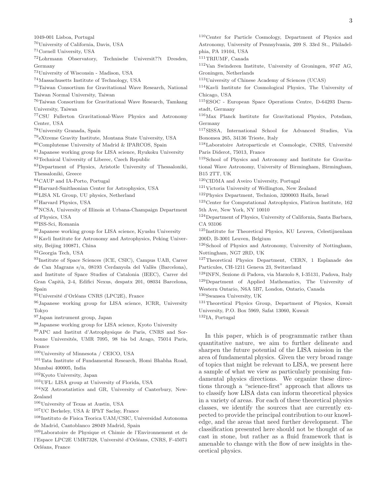<sup>70</sup>University of California, Davis, USA

<sup>72</sup>Lohrmann Observatory, Technische Universit??t Dresden, Germany

<sup>73</sup>University of Wisconsin - Madison, USA

<sup>74</sup>Massachusetts Institute of Technology, USA

<sup>75</sup>Taiwan Consortium for Gravitational Wave Research, National Taiwan Normal University, Taiwan

<sup>76</sup>Taiwan Consortium for Gravitational Wave Research, Tamkang University, Taiwan

<sup>77</sup>CSU Fullerton Gravitational-Wave Physics and Astronomy Center, USA

<sup>78</sup>University Granada, Spain

1049-001 Lisboa, Portugal

<sup>71</sup>Cornell University, USA

<sup>79</sup>eXtreme Gravity Institute, Montana State University, USA

<sup>80</sup>Complutense University of Madrid & IPARCOS, Spain

<sup>81</sup>Japanese working group for LISA science, Ryukoku University <sup>82</sup>Technical University of Liberec, Czech Republic

<sup>83</sup>Department of Physics, Aristotle University of Thessaloniki, Thessaloniki, Greece

<sup>84</sup>CAUP and IA-Porto, Portugal

<sup>85</sup>Harvard-Smithsonian Center for Astrophysics, USA

<sup>86</sup>LISA NL Group, UU physics, Netherland

<sup>87</sup>Harvard Physics, USA

<sup>88</sup>NCSA, University of Illinois at Urbana-Champaign Department of Physics, USA

<sup>89</sup>ISS-Sci, Romania

<sup>90</sup>Japanese working group for LISA science, Kyushu University

<sup>91</sup>Kavli Institute for Astronomy and Astrophysics, Peking University, Beijing 100871, China

<sup>92</sup>Georgia Tech, USA

<sup>93</sup>Institute of Space Sciences (ICE, CSIC), Campus UAB, Carrer de Can Magrans s/n, 08193 Cerdanyola del Vallès (Barcelona), and Institute of Space Studies of Catalonia (IEEC), Carrer del Gran Capit`a, 2-4, Edifici Nexus, despatx 201, 08034 Barcelona, Spain

95 Université d'Orléans CNRS (LPC2E), France

<sup>96</sup>Japanese working group for LISA science, ICRR, University Tokyo

<sup>97</sup>Japan instrument group, Japan

<sup>98</sup>Japanese working group for LISA science, Kyoto University

<sup>99</sup>APC and Institut d'Astrophysique de Paris, CNRS and Sorbonne Universit´es, UMR 7095, 98 bis bd Arago, 75014 Paris, France

<sup>100</sup>University of Minnesota / CEICO, USA

<sup>101</sup>Tata Institute of Fundamental Research, Homi Bhabha Road, Mumbai 400005, India

<sup>102</sup>Kyoto University, Japan

<sup>103</sup>UFL: LISA group at University of Florida, USA

<sup>104</sup>NZ Astrostatistics and GR, University of Canterbury, New-Zealand

<sup>106</sup>University of Texas at Austin, USA

<sup>107</sup>UC Berkeley, USA & IPhT Saclay, France

<sup>108</sup>Instituto de Fisica Teorica UAM/CSIC, Universidad Autonoma de Madrid, Cantoblanco 28049 Madrid, Spain

<sup>109</sup>Laboratoire de Physique et Chimie de l'Environnement et de l'Espace LPC2E UMR7328, Université d'Orléans, CNRS, F-45071 Orléans, France

<sup>110</sup>Center for Particle Cosmology, Department of Physics and Astronomy, University of Pennsylvania, 209 S. 33rd St., Philadelphia, PA 19104, USA

<sup>111</sup>TRIUMF, Canada

<sup>112</sup>Van Swinderen Institute, University of Groningen, 9747 AG, Groningen, Netherlands

<sup>113</sup>University of Chinese Academy of Sciences (UCAS)

<sup>114</sup>Kavli Institute for Cosmological Physics, The University of Chicago, USA

<sup>115</sup>ESOC - European Space Operations Centre, D-64293 Darmstadt, Germany

<sup>116</sup>Max Planck Institute for Gravitational Physics, Potsdam, Germany

<sup>117</sup>SISSA, International School for Advanced Studies, Via Bonomea 265, 34136 Trieste, Italy

<sup>118</sup>Laboratoire Astroparticule et Cosmologie, CNRS, Université Paris Diderot, 75013, France

<sup>119</sup>School of Physics and Astronomy and Institute for Gravitational Wave Astronomy, University of Birmingham, Birmingham, B15 2TT, UK

<sup>120</sup>CIDMA and Aveiro University, Portugal

<sup>121</sup>Victoria University of Wellington, New Zealand

<sup>122</sup>Physics Department, Technion, 3200003 Haifa, Israel

<sup>123</sup>Center for Computational Astrophysics, Flatiron Institute, 162 5th Ave, New York, NY 10010

<sup>124</sup>Department of Physics, University of California, Santa Barbara, CA 93106

 $^{125}\rm{Institute~ for~Theoretical~Physics,~KU~Leuven,~Celestijnenlaan$ 200D, B-3001 Leuven, Belgium

<sup>126</sup>School of Physics and Astronomy, University of Nottingham, Nottingham, NG7 2RD, UK

<sup>127</sup>Theoretical Physics Department, CERN, 1 Esplanade des Particules, CH-1211 Geneva 23, Switzerland

<sup>128</sup>INFN, Sezione di Padova, via Marzolo 8, I-35131, Padova, Italy <sup>129</sup>Department of Applied Mathematics, The University of Western Ontario, N6A 5B7, London, Ontario, Canada

<sup>130</sup>Swansea University, UK

<sup>131</sup>Theoretical Physics Group, Department of Physics, Kuwait University, P.O. Box 5969, Safat 13060, Kuwait <sup>132</sup>IA, Portugal

In this paper, which is of programmatic rather than quantitative nature, we aim to further delineate and sharpen the future potential of the LISA mission in the area of fundamental physics. Given the very broad range of topics that might be relevant to LISA, we present here a sample of what we view as particularly promising fundamental physics directions. We organize these directions through a "science-first" approach that allows us to classify how LISA data can inform theoretical physics in a variety of areas. For each of these theoretical physics classes, we identify the sources that are currently expected to provide the principal contribution to our knowledge, and the areas that need further development. The classification presented here should not be thought of as cast in stone, but rather as a fluid framework that is amenable to change with the flow of new insights in theoretical physics.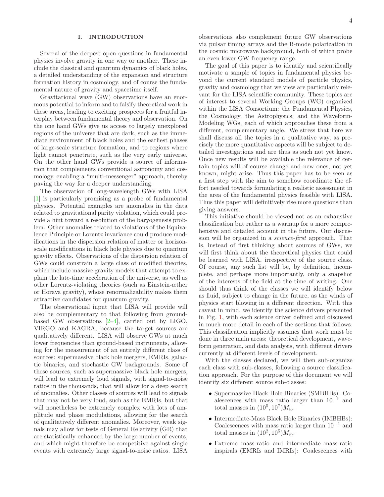## I. INTRODUCTION

Several of the deepest open questions in fundamental physics involve gravity in one way or another. These include the classical and quantum dynamics of black holes, a detailed understanding of the expansion and structure formation history in cosmology, and of course the fundamental nature of gravity and spacetime itself.

Gravitational wave (GW) observations have an enormous potential to inform and to falsify theoretical work in these areas, leading to exciting prospects for a fruitful interplay between fundamental theory and observation. On the one hand GWs give us access to largely unexplored regions of the universe that are dark, such as the immediate environment of black holes and the earliest phases of large-scale structure formation, and to regions where light cannot penetrate, such as the very early universe. On the other hand GWs provide a source of information that complements conventional astronomy and cosmology, enabling a "multi-messenger" approach, thereby paving the way for a deeper understanding.

The observation of long-wavelength GWs with LISA [\[1\]](#page-14-0) is particularly promising as a probe of fundamental physics. Potential examples are anomalies in the data related to gravitational parity violation, which could provide a hint toward a resolution of the baryogenesis problem. Other anomalies related to violations of the Equivalence Principle or Lorentz invariance could produce modifications in the dispersion relation of matter or horizonscale modifications in black hole physics due to quantum gravity effects. Observations of the dispersion relation of GWs could constrain a large class of modified theories, which include massive gravity models that attempt to explain the late-time acceleration of the universe, as well as other Lorentz-violating theories (such as Einstein-æther or Horava gravity), whose renormalizability makes them attractive candidates for quantum gravity.

The observational input that LISA will provide will also be complementary to that following from groundbased GW observations  $[2-4]$ , carried out by LIGO, VIRGO and KAGRA, because the target sources are qualitatively different. LISA will observe GWs at much lower frequencies than ground-based instruments, allowing for the measurement of an entirely different class of sources: supermassive black hole mergers, EMRIs, galactic binaries, and stochastic GW backgrounds. Some of these sources, such as supermassive black hole mergers, will lead to extremely loud signals, with signal-to-noise ratios in the thousands, that will allow for a deep search of anomalies. Other classes of sources will lead to signals that may not be very loud, such as the EMRIs, but that will nonetheless be extremely complex with lots of amplitude and phase modulations, allowing for the search of qualitatively different anomalies. Moreover, weak signals may allow for tests of General Relativity (GR) that are statistically enhanced by the large number of events, and which might therefore be competitive against single events with extremely large signal-to-noise ratios. LISA

observations also complement future GW observations via pulsar timing arrays and the B-mode polarization in the cosmic microwave background, both of which probe an even lower GW frequency range.

The goal of this paper is to identify and scientifically motivate a sample of topics in fundamental physics beyond the current standard models of particle physics, gravity and cosmology that we view are particularly relevant for the LISA scientific community. These topics are of interest to several Working Groups (WG) organized within the LISA Consortium: the Fundamental Physics, the Cosmology, the Astrophysics, and the Waveform-Modeling WGs, each of which approaches these from a different, complementary angle. We stress that here we shall discuss all the topics in a qualitative way, as precisely the more quantitative aspects will be subject to detailed investigations and are thus as such not yet know. Once new results will be available the relevance of certain topics will of course change and new ones, not yet known, might arise. Thus this paper has to be seen as a first step with the aim to somehow coordinate the effort needed towards formulating a realistic assessment in the area of the fundamental physics feasible with LISA. Thus this paper will definitively rise more questions than giving answers.

This initiative should be viewed not as an exhaustive classification but rather as a warmup for a more comprehensive and detailed account in the future. Our discussion will be organized in a science-first approach. That is, instead of first thinking about sources of GWs, we will first think about the theoretical physics that could be learned with LISA, irrespective of the source class. Of course, any such list will be, by definition, incomplete, and perhaps more importantly, only a snapshot of the interests of the field at the time of writing. One should thus think of the classes we will identify below as fluid, subject to change in the future, as the winds of physics start blowing in a different direction. With this caveat in mind, we identify the science drivers presented in Fig. [1,](#page-4-0) with each science driver defined and discussed in much more detail in each of the sections that follows. This classification implicitly assumes that work must be done in three main areas: theoretical development, waveform generation, and data analysis, with different drivers currently at different levels of development.

With the classes declared, we will then sub-organize each class with sub-classes, following a source classification approach. For the purpose of this document we will identify six different source sub-classes:

- Supermassive Black Hole Binaries (SMBHBs): Coalescences with mass ratio larger than  $10^{-1}$  and total masses in  $(10^5, 10^7)M_{\odot}$ .
- Intermediate-Mass Black Hole Binaries (IMBHBs): Coalescences with mass ratio larger than  $10^{-1}$  and total masses in  $(10^2, 10^5)M_{\odot}$ .
- Extreme mass-ratio and intermediate mass-ratio inspirals (EMRIs and IMRIs): Coalescences with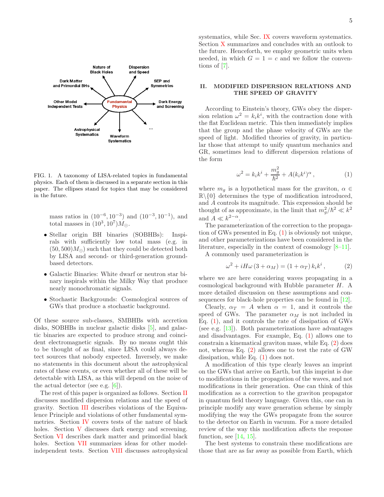

<span id="page-4-0"></span>FIG. 1. A taxonomy of LISA-related topics in fundamental physics. Each of them is discussed in a separate section in this paper. The ellipses stand for topics that may be considered in the future.

mass ratios in  $(10^{-6}, 10^{-3})$  and  $(10^{-3}, 10^{-1})$ , and total masses in  $(10^3, 10^7)M_{\odot}$ .

- Stellar origin BH binaries (SOBHBs): Inspirals with sufficiently low total mass (e.g. in  $(50, 500)M_{\odot}$  such that they could be detected both by LISA and second- or third-generation groundbased detectors.
- Galactic Binaries: White dwarf or neutron star binary inspirals within the Milky Way that produce nearly monochromatic signals.
- Stochastic Backgrounds: Cosmological sources of GWs that produce a stochastic background.

Of these source sub-classes, SMBHBs with accretion disks, SOBHBs in nuclear galactic disks [\[5\]](#page-14-3), and galactic binaries are expected to produce strong and coincident electromagnetic signals. By no means ought this to be thought of as final, since LISA could always detect sources that nobody expected. Inversely, we make no statements in this document about the astrophysical rates of these events, or even whether all of these will be detectable with LISA, as this will depend on the noise of the actual detector (see e.g.  $[6]$ ).

The rest of this paper is organized as follows. Section [II](#page-4-1) discusses modified dispersion relations and the speed of gravity. Section [III](#page-5-0) describes violations of the Equivalence Principle and violations of other fundamental symmetries. Section [IV](#page-7-0) covers tests of the nature of black holes. Section [V](#page-8-0) discusses dark energy and screening. Section [VI](#page-9-0) describes dark matter and primordial black holes. Section [VII](#page-10-0) summarizes ideas for other modelindependent tests. Section [VIII](#page-11-0) discusses astrophysical systematics, while Sec. [IX](#page-12-0) covers waveform systematics. Section [X](#page-13-0) summarizes and concludes with an outlook to the future. Henceforth, we employ geometric units when needed, in which  $G = 1 = c$  and we follow the conventions of [\[7\]](#page-14-5).

### <span id="page-4-1"></span>II. MODIFIED DISPERSION RELATIONS AND THE SPEED OF GRAVITY

According to Einstein's theory, GWs obey the dispersion relation  $\omega^2 = k_i k^i$ , with the contraction done with the flat Euclidean metric. This then immediately implies that the group and the phase velocity of GWs are the speed of light. Modified theories of gravity, in particular those that attempt to unify quantum mechanics and GR, sometimes lead to different dispersion relations of the form

<span id="page-4-2"></span>
$$
\omega^2 = k_i k^i + \frac{m_g^2}{\hbar^2} + A(k_i k^i)^{\alpha},\qquad(1)
$$

where  $m_g$  is a hypothetical mass for the graviton,  $\alpha \in$  $\mathbb{R}\setminus\{0\}$  determines the type of modification introduced, and A controls its magnitude. This expression should be thought of as approximate, in the limit that  $m_g^2/\hbar^2 \ll k^2$ and  $A \ll k^{2-\alpha}$ .

The parameterization of the correction to the propagation of GWs presented in Eq. [\(1\)](#page-4-2) is obviously not unique, and other parameterizations have been considered in the literature, especially in the context of cosmology [\[8](#page-14-6)[–11\]](#page-14-7).

A commonly used parameterization is

<span id="page-4-3"></span>
$$
\omega^2 + iH\omega (3 + \alpha_M) = (1 + \alpha_T) k_i k^i, \qquad (2)
$$

where we are here considering waves propagating in a cosmological background with Hubble parameter H. A more detailed discussion on these assumptions and consequences for black-hole properties can be found in [\[12\]](#page-14-8).

Clearly,  $\alpha_T = A$  when  $\alpha = 1$ , and it controls the speed of GWs. The parameter  $\alpha_M$  is not included in Eq.  $(1)$ , and it controls the rate of dissipation of GWs (see e.g. [\[13](#page-14-9)]). Both parameterizations have advantages and disadvantages. For example, Eq. [\(1\)](#page-4-2) allows one to constrain a kinematical graviton mass, while Eq. [\(2\)](#page-4-3) does not, whereas Eq. [\(2\)](#page-4-3) allows one to test the rate of GW dissipation, while Eq. [\(1\)](#page-4-2) does not.

A modification of this type clearly leaves an imprint on the GWs that arrive on Earth, but this imprint is due to modifications in the propagation of the waves, and not modifications in their generation. One can think of this modification as a correction to the graviton propagator in quantum field theory language. Given this, one can in principle modify any wave generation scheme by simply modifying the way the GWs propagate from the source to the detector on Earth in vacuum. For a more detailed review of the way this modification affects the response function, see  $[14, 15]$  $[14, 15]$ .

The best systems to constrain these modifications are those that are as far away as possible from Earth, which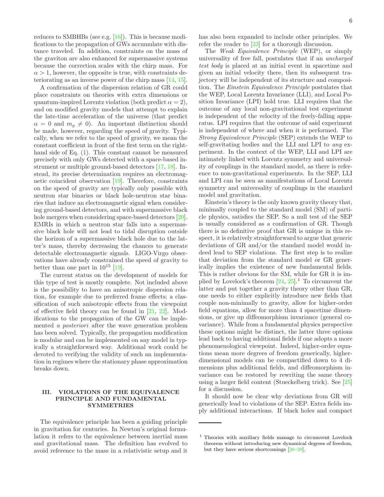reduces to SMBHBs (see e.g. [\[16\]](#page-14-12)). This is because modifications to the propagation of GWs accumulate with distance traveled. In addition, constraints on the mass of the graviton are also enhanced for supermassive systems because the correction scales with the chirp mass. For  $\alpha > 1$ , however, the opposite is true, with constraints deteriorating as an inverse power of the chirp mass [\[14](#page-14-10), [15\]](#page-14-11).

A confirmation of the dispersion relation of GR could place constraints on theories with extra dimensions or quantum-inspired Lorentz violation (both predict  $\alpha = 2$ ), and on modified gravity models that attempt to explain the late-time acceleration of the universe (that predict  $\alpha = 0$  and  $m_q \neq 0$ . An important distinction should be made, however, regarding the speed of gravity. Typically, when we refer to the speed of gravity, we mean the constant coefficient in front of the first term on the righthand side of Eq. [\(1\)](#page-4-2). This constant cannot be measured precisely with only GWs detected with a space-based instrument or multiple ground-based detectors [\[17,](#page-14-13) [18\]](#page-14-14). Instead, its precise determination requires an electromagnetic coincident observation [\[19](#page-14-15)]. Therefore, constraints on the speed of gravity are typically only possible with neutron star binaries or black hole-neutron star binaries that induce an electromagnetic signal when considering ground-based detectors, and with supermassive black hole mergers when considering space-based detectors [\[20\]](#page-14-16). EMRIs in which a neutron star falls into a supermassive black hole will not lead to tidal disruption outside the horizon of a supermassive black hole due to the latter's mass, thereby decreasing the chances to generate detectable electromagnetic signals. LIGO-Virgo observations have already constrained the speed of gravity to better than one part in  $10^{15}$  [\[19\]](#page-14-15).

The current status on the development of models for this type of test is mostly complete. Not included above is the possibility to have an anisotropic dispersion relation, for example due to preferred frame effects; a classification of such anisotropic effects from the viewpoint of effective field theory can be found in [\[21,](#page-14-17) [22\]](#page-14-18). Modifications to the propagation of the GW can be implemented a posteriori after the wave generation problem has been solved. Typically, the propagation modification is modular and can be implemented on any model in typically a straightforward way. Additional work could be devoted to verifying the validity of such an implementation in regimes where the stationary phase approximation breaks down.

### <span id="page-5-0"></span>III. VIOLATIONS OF THE EQUIVALENCE PRINCIPLE AND FUNDAMENTAL SYMMETRIES

The equivalence principle has been a guiding principle in gravitation for centuries. In Newton's original formulation it refers to the equivalence between inertial mass and gravitational mass. The definition has evolved to avoid reference to the mass in a relativistic setup and it

has also been expanded to include other principles. We refer the reader to [\[23\]](#page-15-0) for a thorough discussion.

The Weak Equivalence Principle (WEP), or simply universality of free fall, postulates that if an uncharged test body is placed at an initial event in spacetime and given an initial velocity there, then its subsequent trajectory will be independent of its structure and composition. The Einstein Equivalence Principle postulates that the WEP, Local Lorentz Invariance (LLI), and Local Position Invariance (LPI) hold true. LLI requires that the outcome of any local non-gravitational test experiment is independent of the velocity of the freely-falling apparatus. LPI requires that the outcome of said experiment is independent of where and when it is performed. The Strong Equivalence Principle (SEP) extends the WEP to self-gravitating bodies and the LLI and LPI to any experiment. In the context of the WEP, LLI and LPI are intimately linked with Lorentz symmetry and universality of couplings in the standard model, as there is reference to non-gravitational experiments. In the SEP, LLI and LPI can be seen as manifestations of Local Lorentz symmetry and universality of couplings in the standard model and gravitation.

Einstein's theory is the only known gravity theory that, minimally coupled to the standard model (SM) of particle physics, satisfies the SEP. So a null test of the SEP is usually considered as a confirmation of GR. Though there is no definitive proof that GR is unique in this respect, it is relatively straightforward to argue that generic deviations of GR and/or the standard model would indeed lead to SEP violations. The first step is to realize that deviation from the standard model or GR generically implies the existence of new fundamental fields. This is rather obvious for the SM, while for GR it is implied by Lovelock's theorem  $[24, 25]$  $[24, 25]$ .<sup>[1](#page-5-1)</sup> To circumvent the latter and put together a gravity theory other than GR, one needs to either explicitly introduce new fields that couple non-minimally to gravity, allow for higher-order field equations, allow for more than 4 spacetime dimensions, or give up diffeomorphism invariance (general covariance). While from a fundamental physics perspective these options might be distinct, the latter three options lead back to having additional fields if one adopts a more phenomenological viewpoint. Indeed, higher-order equations mean more degrees of freedom generically, higherdimensional models can be compactified down to 4 dimensions plus additional fields, and diffeomorphism invariance can be restored by rewriting the same theory using a larger field content (Stueckelberg trick). See [\[25](#page-15-2)] for a discussion.

It should now be clear why deviations from GR will generically lead to violations of the SEP. Extra fields imply additional interactions. If black holes and compact

<span id="page-5-1"></span><sup>1</sup> Theories with auxiliary fields manage to circumvent Lovelock theorem without introducing new dynamical degrees of freedom, but they have serious shortcomings [\[26](#page-15-3)[–29](#page-15-4)].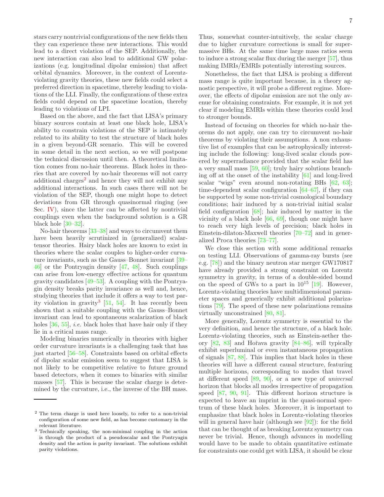stars carry nontrivial configurations of the new fields then they can experience these new interactions. This would lead to a direct violation of the SEP. Additionally, the new interaction can also lead to additional GW polarizations (e.g. longitudinal dipolar emission) that affect orbital dynamics. Moreover, in the context of Lorentzviolating gravity theories, these new fields could select a preferred direction in spacetime, thereby leading to violations of the LLI. Finally, the configurations of these extra fields could depend on the spacetime location, thereby leading to violations of LPI.

Based on the above, and the fact that LISA's primary binary sources contain at least one black hole, LISA's ability to constrain violations of the SEP is intimately related to its ability to test the structure of black holes in a given beyond-GR scenario. This will be covered in some detail in the next section, so we will postpone the technical discussion until then. A theoretical limitation comes from no-hair theorems. Black holes in theories that are covered by no-hair theorems will not carry additional charges<sup>[2](#page-6-0)</sup> and hence they will not exhibit any additional interactions. In such cases there will not be violation of the SEP, though one might hope to detect deviations from GR through quasinormal ringing (see Sec. [IV\)](#page-7-0), since the latter can be affected by nontrivial couplings even when the background solution is a GR black hole [\[30](#page-15-5)[–32\]](#page-15-6).

No-hair theorems [\[33](#page-15-7)[–38\]](#page-15-8) and ways to circumvent them have been heavily scrutinized in (generalized) scalartensor theories. Hairy black holes are known to exist in theories where the scalar couples to higher-order curvature invariants, such as the Gauss–Bonnet invariant [\[39](#page-15-9)– [46\]](#page-15-10) or the Pontryagin density [\[47](#page-15-11), [48](#page-15-12)]. Such couplings can arise from low-energy effective actions for quantum gravity candidates [\[49](#page-15-13)[–53\]](#page-15-14). A coupling with the Pontryagin density breaks parity invariance as well and, hence, studying theories that include it offers a way to test parity violation in gravity[3](#page-6-1) [\[51,](#page-15-15) [54](#page-15-16)]. It has recently been shown that a suitable coupling with the Gauss–Bonnet invariant can lead to spontaneous scalarization of black holes  $[36, 55]$  $[36, 55]$ , *i.e.* black holes that have hair only if they lie in a critical mass range.

Modeling binaries numerically in theories with higher order curvature invariants is a challenging task that has just started [\[56](#page-15-19)[–58](#page-15-20)]. Constraints based on orbital effects of dipolar scalar emission seem to suggest that LISA is not likely to be competitive relative to future ground based detectors, when it comes to binaries with similar masses [\[57](#page-15-21)]. This is because the scalar charge is determined by the curvature, i.e., the inverse of the BH mass.

Thus, somewhat counter-intuitively, the scalar charge due to higher curvature corrections is small for supermassive BHs. At the same time large mass ratios seem to induce a strong scalar flux during the merger [\[57](#page-15-21)], thus making IMRIs/EMRIs potentially interesting sources.

Nonetheless, the fact that LISA is probing a different mass range is quite important because, in a theory agnostic perspective, it will probe a different regime. Moreover, the effects of dipolar emission are not the only avenue for obtaining constraints. For example, it is not yet clear if modeling EMRIs within these theories could lead to stronger bounds.

Instead of focusing on theories for which no-hair theorems do not apply, one can try to circumvent no-hair theorems by violating their assumptions. A non exhaustive list of examples that can be astrophysically interesting include the following: long-lived scalar clouds powered by superradiance provided that the scalar field has a very small mass [\[59](#page-15-22), [60\]](#page-15-23); truly hairy solutions branching off at the onset of the instability [\[61\]](#page-15-24) and long-lived scalar "wigs" even around non-rotating BHs [\[62,](#page-15-25) [63\]](#page-15-26); time-dependent scalar configuration [\[64](#page-15-27)[–67\]](#page-15-28), if they can be supported by some non-trivial cosmological boundary conditions; hair induced by a non-trivial initial scalar field configuration  $[68]$ ; hair induced by matter in the vicinity of a black hole [\[66,](#page-15-29) [69](#page-16-1)], though one might have to reach very high levels of precision; black holes in Einstein-dilaton-Maxwell theories [\[70](#page-16-2)[–72\]](#page-16-3) and in generalized Proca theories [\[73](#page-16-4)[–77\]](#page-16-5).

We close this section with some additional remarks on testing LLI. Observations of gamma-ray bursts (see e.g. [\[78\]](#page-16-6)) and the binary neutron star merger GW170817 have already provided a strong constraint on Lorentz symmetry in gravity, in terms of a double-sided bound on the speed of GWs to a part in  $10^{15}$  [\[19\]](#page-14-15). However, Lorentz-violating theories have multidimensional parameter spaces and generically exhibit additional polarizations [\[79](#page-16-7)]. The speed of these new polarizations remains virtually unconstrained [\[80,](#page-16-8) [81\]](#page-16-9).

More generally, Lorentz symmetry is essential to the very definition, and hence the structure, of a black hole. Lorentz-violating theories, such as Einstein-aether theory  $[82, 83]$  $[82, 83]$  $[82, 83]$  and Hořava gravity  $[84–86]$  $[84–86]$ , will typically exhibit superluminal or even instantaneous propagation of signals [\[87](#page-16-14), [88](#page-16-15)]. This implies that black holes in these theories will have a different causal structure, featuring multiple horizons, corresponding to modes that travel at different speed  $[89, 90]$  $[89, 90]$ , or a new type of *universal* horizon that blocks all modes irrespective of propagation speed [\[87,](#page-16-14) [90,](#page-16-17) [91](#page-16-18)]. This different horizon structure is expected to leave an imprint in the quasi-normal spectrum of these black holes. Moreover, it is important to emphasize that black holes in Lorentz-violating theories will in general have hair (although see [\[92](#page-16-19)]): for the field that can be thought of as breaking Lorentz symmetry can never be trivial. Hence, though advances in modelling would have to be made to obtain quantitative estimate for constraints one could get with LISA, it should be clear

<span id="page-6-0"></span><sup>2</sup> The term charge is used here loosely, to refer to a non-trivial configuration of some new field, as has become customary in the relevant literature.

<span id="page-6-1"></span><sup>3</sup> Technically speaking, the non-minimal coupling in the action is through the product of a pseudoscalar and the Pontryagin density and the action is parity invariant. The solutions exhibit parity violations.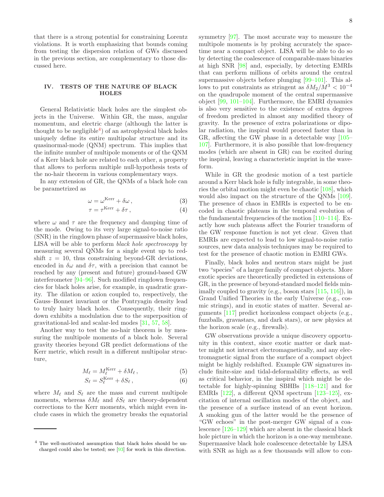that there is a strong potential for constraining Lorentz violations. It is worth emphasizing that bounds coming from testing the dispersion relation of GWs discussed in the previous section, are complementary to those discussed here.

# <span id="page-7-0"></span>IV. TESTS OF THE NATURE OF BLACK HOLES

General Relativistic black holes are the simplest objects in the Universe. Within GR, the mass, angular momentum, and electric charge (although the latter is thought to be negligible<sup>[4](#page-7-1)</sup>) of an astrophysical black holes uniquely define its entire multipolar structure and its quasinormal-mode (QNM) spectrum. This implies that the infinite number of multipole moments or of the QNM of a Kerr black hole are related to each other, a property that allows to perform multiple null-hypothesis tests of the no-hair theorem in various complementary ways.

In any extension of GR, the QNMs of a black hole can be parametrized as

$$
\omega = \omega^{\text{Kerr}} + \delta \omega \,,\tag{3}
$$

$$
\tau = \tau^{\text{Kerr}} + \delta \tau \,, \tag{4}
$$

where  $\omega$  and  $\tau$  are the frequency and damping time of the mode. Owing to its very large signal-to-noise ratio (SNR) in the ringdown phase of supermassive black holes, LISA will be able to perform black hole spectroscopy by measuring several QNMs for a single event up to redshift  $z = 10$ , thus constraining beyond-GR deviations, encoded in  $\delta\omega$  and  $\delta\tau$ , with a precision that cannot be reached by any (present and future) ground-based GW interferometer [\[94](#page-16-20)[–96](#page-16-21)]. Such modified ringdown frequencies for black holes arise, for example, in quadratic gravity. The dilation or axion coupled to, respectively, the Gauss–Bonnet invariant or the Pontryagin density lead to truly hairy black holes. Consequently, their ringdown exhibits a modulation due to the superposition of gravitational-led and scalar-led modes [\[31](#page-15-30), [57](#page-15-21), [58](#page-15-20)].

Another way to test the no-hair theorem is by measuring the multipole moments of a black hole. Several gravity theories beyond GR predict deformations of the Kerr metric, which result in a different multipolar structure,

$$
M_{\ell} = M_{\ell}^{\text{Kerr}} + \delta M_{\ell} , \qquad (5)
$$

$$
S_{\ell} = S_{\ell}^{\text{Kerr}} + \delta S_{\ell} , \qquad (6)
$$

where  $M_{\ell}$  and  $S_{\ell}$  are the mass and current multipole moments, whereas  $\delta M_{\ell}$  and  $\delta S_{\ell}$  are theory-dependent corrections to the Kerr moments, which might even include cases in which the geometry breaks the equatorial symmetry [\[97\]](#page-16-23). The most accurate way to measure the multipole moments is by probing accurately the spacetime near a compact object. LISA will be able to do so by detecting the coalescence of comparable-mass binaries at high SNR [\[98\]](#page-16-24) and, especially, by detecting EMRIs that can perform millions of orbits around the central supermassive objects before plunging [\[99](#page-16-25)[–101\]](#page-16-26). This allows to put constraints as stringent as  $\delta M_2/M^3 < 10^{-4}$ on the quadrupole moment of the central supermassive object [\[99](#page-16-25), [101](#page-16-26)[–104\]](#page-16-27). Furthermore, the EMRI dynamics is also very sensitive to the existence of extra degrees of freedom predicted in almost any modified theory of gravity. In the presence of extra polarizations or dipolar radiation, the inspiral would proceed faster than in GR, affecting the GW phase in a detectable way [\[105](#page-16-28)– [107\]](#page-16-29). Furthermore, it is also possible that low-frequency modes (which are absent in GR) can be excited during the inspiral, leaving a characteristic imprint in the waveform.

While in GR the geodesic motion of a test particle around a Kerr black hole is fully integrable, in some theories the orbital motion might even be chaotic [\[108\]](#page-16-30), which would also impact on the structure of the QNMs [\[109\]](#page-16-31). The presence of chaos in EMRIs is expected to be encoded in chaotic plateaus in the temporal evolution of the fundamental frequencies of the motion [\[110](#page-16-32)[–114](#page-17-0)]. Exactly how such plateaus affect the Fourier transform of the GW response function is not yet clear. Given that EMRIs are expected to lead to low signal-to-noise ratio sources, new data analysis techniques may be required to test for the presence of chaotic motion in EMRI GWs.

Finally, black holes and neutron stars might be just two "species" of a larger family of compact objects. More exotic species are theoretically predicted in extensions of GR, in the presence of beyond-standard model fields minimally coupled to gravity (e.g., boson stars [\[115](#page-17-1), [116\]](#page-17-2)), in Grand Unified Theories in the early Universe (e.g., cosmic strings), and in exotic states of matter. Several arguments [\[117\]](#page-17-3) predict horizonless compact objects (e.g., fuzzballs, gravastars, and dark stars), or new physics at the horizon scale (e.g., firewalls).

GW observations provide a unique discovery opportunity in this context, since exotic matter or dark matter might not interact electromagnetically, and any electromagnetic signal from the surface of a compact object might be highly redshifted. Example GW signatures include finite-size and tidal-deformability effects, as well as critical behavior, in the inspiral which might be detectable for highly-spinning SBHBs [\[118](#page-17-4)[–121\]](#page-17-5) and for EMRIs [\[122\]](#page-17-6), a different QNM spectrum [\[123](#page-17-7)[–125](#page-17-8)], excitation of internal oscillation modes of the object, and the presence of a surface instead of an event horizon. A smoking gun of the latter would be the presence of "GW echoes" in the post-merger GW signal of a coalescence [\[126](#page-17-9)[–129](#page-17-10)] which are absent in the classical black hole picture in which the horizon is a one-way membrane. Supermassive black hole coalescence detectable by LISA with SNR as high as a few thousands will allow to con-

<span id="page-7-1"></span><sup>4</sup> The well-motivated assumption that black holes should be uncharged could also be tested; see [\[93\]](#page-16-22) for work in this direction.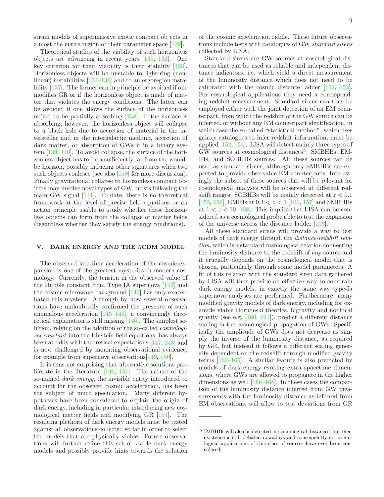strain models of supermassive exotic compact objects in almost the entire region of their parameter space [\[130\]](#page-17-11).

Theoretical studies of the viability of such horizonless objects are advancing in recent years [\[131,](#page-17-12) [132](#page-17-13)]. One key criterion for their viability is their stability [\[133\]](#page-17-14). Horizonless objects will be unstable to light-ring (nonlinear) instabilities [\[134](#page-17-15)[–136](#page-17-16)] and to an ergoregion instability [\[137](#page-17-17)]. The former can in principle be avoided if one modifies GR or if the horizonless object is made of matter that violates the energy conditions. The latter can be avoided if one allows the surface of the horizonless object to be partially absorbing  $[138]$ . If the surface is absorbing, however, the horizonless object will collapse to a black hole due to accretion of material in the interstellar and in the intergalactic medium, accretion of dark matter, or absorption of GWs if in a binary system [\[139](#page-17-19), [140\]](#page-17-20). To avoid collapse, the surface of the horizonless object has to be a sufficiently far from the wouldbe horizon, possibly inducing other signatures when two such objects coalesce (see also [\[118](#page-17-4)] for more discussion). Finally gravitational collapse to horizonless compact objects may involve novel types of GW bursts following the main GW signal [\[141\]](#page-17-21). To date, there is no theoretical framework at the level of precise field equations or an action principle usable to study whether these horizonless objects can form from the collapse of matter fields (regardless whether they satisfy the energy conditions).

#### <span id="page-8-0"></span>V. DARK ENERGY AND THE ΛCDM MODEL

The observed late-time acceleration of the cosmic expansion is one of the greatest mysteries in modern cosmology. Currently, the tension in the observed value of the Hubble constant from Type IA supernova [\[142\]](#page-17-22) and the cosmic microwave background [\[143\]](#page-17-23) has only exacerbated this mystery. Although by now several observations have undoubtedly confirmed the presence of such anomalous acceleration [\[143](#page-17-23)[–145\]](#page-17-24), a convincingly theoretical explanation is still missing [\[146\]](#page-17-25). The simplest solution, relying on the addition of the so-called cosmological constant into the Einstein field equations, has always been at odds with theoretical expectations [\[147](#page-17-26), [148\]](#page-17-27) and is now challenged by mounting observational evidence, for example from supernova observations[\[149,](#page-17-28) [150\]](#page-17-29).

It is thus not surprising that alternative solutions proliferate in the literature  $[146, 151]$  $[146, 151]$ . The nature of the so-named dark energy, the invisible entity introduced to account for the observed cosmic acceleration, has been the subject of much speculation. Many different hypotheses have been considered to explain the origin of dark energy, including in particular introducing new cosmological matter fields and modifying GR [\[151\]](#page-17-30). The resulting plethora of dark energy models must be tested against all observations collected so far in order to select the models that are physically viable. Future observations will further refine this set of viable dark energy models and possibly provide hints towards the solution

of the cosmic acceleration riddle. These future observations include tests with catalogues of GW standard sirens collected by LISA.

Standard sirens are GW sources at cosmological distances that can be used as reliable and independent distance indicators, i.e. which yield a direct measurement of the luminosity distance which does not need to be calibrated with the cosmic distance ladder [\[152,](#page-17-31) [153\]](#page-17-32). For cosmological applications they need a corresponding redshift measurement. Standard sirens can thus be employed either with the joint detection of an EM counterpart, from which the redshift of the GW source can be inferred, or without any EM counterpart identification, in which case the so-called "statistical method", which uses galaxy catalogues to infer redshift information, must be applied [\[152,](#page-17-31) [154](#page-17-33)]. LISA will detect mainly three types of GW sources at cosmological distances<sup>[5](#page-8-1)</sup>: SMBHBs, EM-RIs, and SOBHBs sources. All these sources can be used as standard sirens, although only SMBHBs are expected to provide observable EM counterparts. Interestingly the subset of these sources that will be relevant for cosmological analyses will be observed at different redshift ranges: SOBHBs will be mainly detected at  $z < 0.1$ [\[155,](#page-17-34) [156\]](#page-17-35), EMRIs at  $0.1 < z < 1$  [\[101,](#page-16-26) [157](#page-17-36)] and SMBHBs at  $1 < z < 10$  [\[158](#page-17-37)]. This implies that LISA can be considered as a cosmological probe able to test the expansion of the universe across the distance ladder [\[159\]](#page-17-38).

All these standard sirens will provide a way to test models of dark energy through the distance-redshift relation, which is a standard cosmological relation connecting the luminosity distance to the redshift of any source and it crucially depends on the cosmological model that is chosen, particularly through some model parameters. A fit of this relation with the standard siren data gathered by LISA will thus provide an effective way to constrain dark energy models, in exactly the same way type-Ia supernova analyses are performed. Furthermore, many modified gravity models of dark energy, including for example viable Horndeski theories, bigravity and nonlocal gravity (see e.g. [\[160,](#page-18-0) [161](#page-18-1)]), predict a different distance scaling in the cosmological propagation of GWs. Specifically the amplitude of GWs does not decrease as simply the inverse of the luminosity distance, as required by GR, but instead it follows a different scaling generally dependent on the redshift through modified gravity terms [\[162](#page-18-2)[–165\]](#page-18-3). A similar feature is also predicted by models of dark energy evoking extra spacetime dimensions, where GWs are allowed to propagate in the higher dimensions as well [\[166](#page-18-4)[–168\]](#page-18-5). In these cases the comparison of the luminosity distance inferred from GW measurements with the luminosity distance as inferred from EM observations, will allow to test deviations from GR

<span id="page-8-1"></span><sup>5</sup> IMBHBs will also be detected at cosmological distances, but their existence is still debated nowadays and consequently no cosmological applications of this class of sources have ever been considered.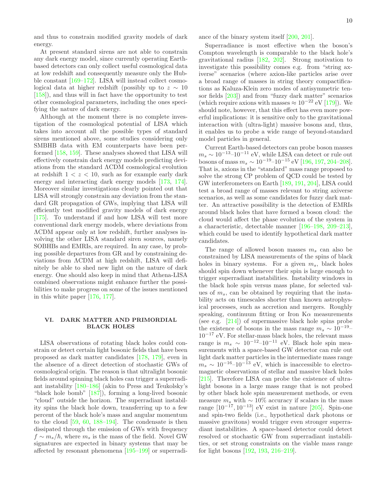and thus to constrain modified gravity models of dark energy.

At present standard sirens are not able to constrain any dark energy model, since currently operating Earthbased detectors can only collect useful cosmological data at low redshift and consequently measure only the Hubble constant [\[169](#page-18-6)[–172](#page-18-7)]. LISA will instead collect cosmological data at higher redshift (possibly up to  $z \sim 10$ [\[158\]](#page-17-37)), and thus will in fact have the opportunity to test other cosmological parameters, including the ones specifying the nature of dark energy.

Although at the moment there is no complete investigation of the cosmological potential of LISA which takes into account all the possible types of standard sirens mentioned above, some studies considering only SMBHB data with EM counterparts have been performed [\[158,](#page-17-37) [159\]](#page-17-38). These analyses showed that LISA will effectively constrain dark energy models predicting deviations from the standard ΛCDM cosmological evolution at redshift  $1 < z < 10$ , such as for example early dark energy and interacting dark energy models [\[173,](#page-18-8) [174\]](#page-18-9). Moreover similar investigations clearly pointed out that LISA will strongly constrain any deviation from the standard GR propagation of GWs, implying that LISA will efficiently test modified gravity models of dark energy [\[175\]](#page-18-10). To understand if and how LISA will test more conventional dark energy models, where deviations from ΛCDM appear only at low redshift, further analyses involving the other LISA standard siren sources, namely SOBHBs and EMRIs, are required. In any case, by probing possible departures from GR and by constraining deviations from ΛCDM at high redshift, LISA will definitely be able to shed new light on the nature of dark energy. One should also keep in mind that Athena-LISA combined observations might enhance further the possibilities to make progress on some of the issues mentioned in this white paper [\[176,](#page-18-11) [177\]](#page-18-12).

## <span id="page-9-0"></span>VI. DARK MATTER AND PRIMORDIAL BLACK HOLES

LISA observations of rotating black holes could constrain or detect certain light bosonic fields that have been proposed as dark matter candidates [\[178,](#page-18-13) [179\]](#page-18-14), even in the absence of a direct detection of stochastic GWs of cosmological origin. The reason is that ultralight bosonic fields around spinning black holes can trigger a superradiant instability [\[180](#page-18-15)[–186](#page-18-16)] (akin to Press and Teukolsky's "black hole bomb" [\[187](#page-18-17)]), forming a long-lived bosonic "cloud" outside the horizon. The superradiant instability spins the black hole down, transferring up to a few percent of the black hole's mass and angular momentum to the cloud [\[59](#page-15-22), [60,](#page-15-23) [188](#page-18-18)[–194\]](#page-18-19). The condensate is then dissipated through the emission of GWs with frequency  $f \sim m_s/\hbar$ , where  $m_s$  is the mass of the field. Novel GW signatures are expected in binary systems that may be affected by resonant phenomena [\[195](#page-18-20)[–199](#page-18-21)] or superradiance of the binary system itself [\[200,](#page-18-22) [201\]](#page-18-23).

Superradiance is most effective when the boson's Compton wavelength is comparable to the black hole's gravitational radius [\[182,](#page-18-24) [202\]](#page-18-25). Strong motivation to investigate this possibility comes e.g. from "string axiverse" scenarios (where axion-like particles arise over a broad range of masses in string theory compactifications as Kaluza-Klein zero modes of antisymmetric tensor fields [\[203\]](#page-18-26)) and from "fuzzy dark matter" scenarios (which require axions with masses  $\approx 10^{-22}$  eV [\[179\]](#page-18-14)). We should note, however, that this effect has even more powerful implications: it is sensitive only to the gravitational interaction with (ultra-light) massive bosons and, thus, it enables us to probe a wide range of beyond-standard model particles in general.

Current Earth-based detectors can probe boson masses  $m_s \sim 10^{-13}$ – $10^{-11}$  eV, while LISA can detect or rule out bosons of mass  $m_s \sim 10^{-19}$ – $10^{-15}$  eV [\[196,](#page-18-27) [197,](#page-18-28) [204](#page-18-29)[–208\]](#page-18-30). That is, axions in the "standard" mass range proposed to solve the strong CP problem of QCD could be tested by GW interferometers on Earth [\[189,](#page-18-31) [191,](#page-18-32) [204](#page-18-29)], LISA could test a broad range of masses relevant to string axiverse scenarios, as well as some candidates for fuzzy dark matter. An attractive possibility is the detection of EMRIs around black holes that have formed a boson cloud: the cloud would affect the phase evolution of the system in a characteristic, detectable manner [\[196](#page-18-27)[–198,](#page-18-33) [209](#page-18-34)[–213\]](#page-19-0), which could be used to identify hypothetical dark matter candidates.

The range of allowed boson masses  $m_s$  can also be constrained by LISA measurements of the spins of black holes in binary systems. For a given  $m_s$ , black holes should spin down whenever their spin is large enough to trigger superradiant instabilities. Instability windows in the black hole spin versus mass plane, for selected values of  $m_s$ , can be obtained by requiring that the instability acts on timescales shorter than known astrophysical processes, such as accretion and mergers. Roughly speaking, continuum fitting or Iron  $K\alpha$  measurements (see e.g. [\[214](#page-19-1)]) of supermassive black hole spins probe the existence of bosons in the mass range  $m_s \sim 10^{-19}$ –  $10^{-17}$  eV. For stellar-mass black holes, the relevant mass range is  $m_s \sim 10^{-12} - 10^{-11}$  eV. Black hole spin measurements with a space-based GW detector can rule out light dark matter particles in the intermediate mass range  $m_s \sim 10^{-16}$ – $10^{-13}$  eV, which is inaccessible to electromagnetic observations of stellar and massive black holes [\[215\]](#page-19-2). Therefore LISA can probe the existence of ultralight bosons in a large mass range that is not probed by other black hole spin measurement methods, or even measure  $m_s$  with ~ 10% accuracy if scalars in the mass range  $[10^{-17}, 10^{-13}]$  eV exist in nature [\[205\]](#page-18-35). Spin-one and spin-two fields (i.e., hypothetical dark photons or massive gravitons) would trigger even stronger superradiant instabilities. A space-based detector could detect resolved or stochastic GW from superradiant instabilities, or set strong constraints on the viable mass range for light bosons [\[192,](#page-18-36) [193,](#page-18-37) [216–](#page-19-3)[219\]](#page-19-4).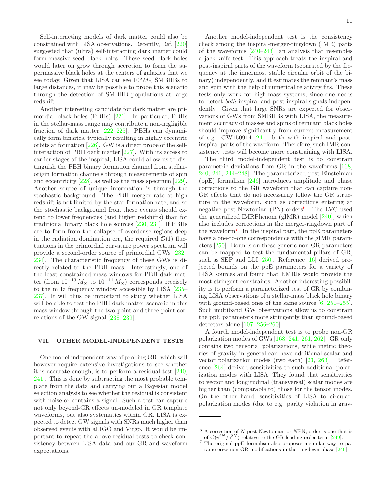Self-interacting models of dark matter could also be constrained with LISA observations. Recently, Ref. [\[220\]](#page-19-5) suggested that (ultra) self-interacting dark matter could form massive seed black holes. These seed black holes would later on grow through accretion to form the supermassive black holes at the centers of galaxies that we see today. Given that LISA can see  $10^5 M_{\odot}$  SMBHBs to large distances, it may be possible to probe this scenario through the detection of SMBHB populations at large redshift.

Another interesting candidate for dark matter are primordial black holes (PBHs) [\[221\]](#page-19-6). In particular, PBHs in the stellar-mass range may contribute a non-negligible fraction of dark matter [\[222–](#page-19-7)[225\]](#page-19-8). PBHs can dynamically form binaries, typically resulting in highly eccentric orbits at formation [\[226\]](#page-19-9). GW is a direct probe of the selfinteraction of PBH dark matter [\[227](#page-19-10)]. With its access to earlier stages of the inspiral, LISA could allow us to distinguish the PBH binary formation channel from stellarorigin formation channels through measurements of spin and eccentricity [\[228\]](#page-19-11), as well as the mass spectrum [\[229\]](#page-19-12). Another source of unique information is through the stochastic background. The PBH merger rate at high redshift is not limited by the star formation rate, and so the stochastic background from these events should extend to lower frequencies (and higher redshifts) than for traditional binary black hole sources [\[230](#page-19-13), [231](#page-19-14)]. If PBHs are to form from the collapse of overdense regions deep in the radiation domination era, the required  $\mathcal{O}(1)$  fluctuations in the primordial curvature power spectrum will provide a second-order source of primordial GWs [\[232](#page-19-15)– [234](#page-19-16)]. The characteristic frequency of these GWs is directly related to the PBH mass. Interestingly, one of the least constrained mass windows for PBH dark matter (from  $10^{-13} M_{\odot}$  to  $10^{-11} M_{\odot}$ ) corresponds precisely to the mHz frequency window accessible by LISA [\[235](#page-19-17)– [237](#page-19-18)]. It will thus be important to study whether LISA will be able to test the PBH dark matter scenario in this mass window through the two-point and three-point correlations of the GW signal [\[238,](#page-19-19) [239\]](#page-19-20).

## <span id="page-10-0"></span>VII. OTHER MODEL-INDEPENDENT TESTS

One model independent way of probing GR, which will however require extensive investigations to see whether it is accurate enough, is to perform a residual test [\[240,](#page-19-21) [241](#page-19-22)]. This is done by subtracting the most probable template from the data and carrying out a Bayesian model selection analysis to see whether the residual is consistent with noise or contains a signal. Such a test can capture not only beyond-GR effects un-modeled in GR template waveforms, but also systematics within GR. LISA is expected to detect GW signals with SNRs much higher than observed events with aLIGO and Virgo. It would be important to repeat the above residual tests to check consistency between LISA data and our GR and waveform expectations.

Another model-independent test is the consistency check among the inspiral-merger-ringdown (IMR) parts of the waveforms [\[240](#page-19-21)[–243\]](#page-19-23), an analysis that resembles a jack-knife test. This approach treats the inspiral and post-inspiral parts of the waveform (separated by the frequency at the innermost stable circular orbit of the binary) independently, and it estimates the remnant's mass and spin with the help of numerical relativity fits. These tests only work for high-mass systems, since one needs to detect both inspiral and post-inspiral signals independently. Given that large SNRs are expected for observations of GWs from SMBHBs with LISA, the measurement accuracy of masses and spins of remnant black holes should improve significantly from current measurement of e.g. GW150914 [\[241](#page-19-22)], both with inspiral and postinspiral parts of the waveform. Therefore, such IMR consistency tests will become more constraining with LISA.

The third model-independent test is to constrain parametric deviations from GR in the waveforms [\[168](#page-18-5), [240,](#page-19-21) [241,](#page-19-22) [244](#page-19-24)[–248\]](#page-19-25). The parameterized post-Einsteinian (ppE) formalism [\[246](#page-19-26)] introduces amplitude and phase corrections to the GR waveform that can capture non-GR effects that do not necessarily follow the GR structure in the waveform, such as corrections entering at negative post-Newtonian (PN) orders<sup>[6](#page-10-1)</sup>. The LVC used the generalized IMRPhenom (gIMR) model [\[240](#page-19-21)], which also includes corrections in the merger-ringdown part of the waveform[7](#page-10-2) . In the inspiral part, the ppE parameters have a one-to-one correspondence with the gIMR parameters [\[250\]](#page-19-27). Bounds on these generic non-GR parameters can be mapped to test the fundamental pillars of GR, such as SEP and LLI [\[250\]](#page-19-27). Reference [\[16\]](#page-14-12) derived projected bounds on the ppE parameters for a variety of LISA sources and found that EMRIs would provide the most stringent constraints. Another interesting possibility is to perform a parameterized test of GR by combining LISA observations of a stellar-mass black hole binary with ground-based ones of the same source  $[6, 251-255]$  $[6, 251-255]$  $[6, 251-255]$ . Such multiband GW observations allow us to constrain the ppE parameters more stringently than ground-based detectors alone [\[107,](#page-16-29) [256](#page-20-1)[–260\]](#page-20-2).

A fourth model-independent test is to probe non-GR polarization modes of GWs [\[168,](#page-18-5) [241](#page-19-22), [261,](#page-20-3) [262](#page-20-4)]. GR only contains two tensorial polarizations, while metric theories of gravity in general can have additional scalar and vector polarization modes (two each) [\[23](#page-15-0), [263](#page-20-5)]. Reference [\[264](#page-20-6)] derived sensitivities to such additional polarization modes with LISA. They found that sensitivities to vector and longitudinal (transversal) scalar modes are higher than (comparable to) those for the tensor modes. On the other hand, sensitivities of LISA to circularpolarization modes (due to e.g. parity violation in grav-

 $6$  A correction of N post-Newtonian, or NPN, order is one that is of  $\mathcal{O}(v^{2N}/c^{2N})$  relative to the GR leading order term [\[249](#page-19-29)].

<span id="page-10-2"></span><span id="page-10-1"></span><sup>7</sup> The original ppE formalism also proposes a similar way to parameterize non-GR modifications in the ringdown phase [\[246](#page-19-26)]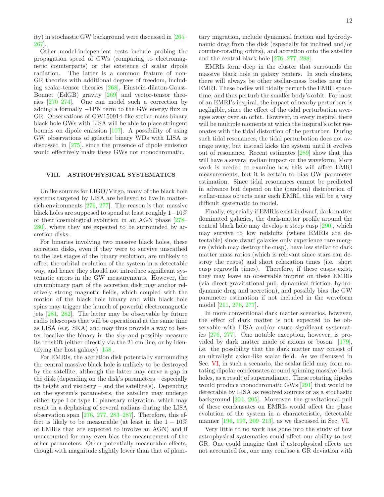ity) in stochastic GW background were discussed in [\[265](#page-20-7)– [267](#page-20-8)].

Other model-independent tests include probing the propagation speed of GWs (comparing to electromagnetic counterparts) or the existence of scalar dipole radiation. The latter is a common feature of non-GR theories with additional degrees of freedom, including scalar-tensor theories [\[268\]](#page-20-9), Einstein-dilaton-Gauss-Bonnet (EdGB) gravity [\[269](#page-20-10)] and vector-tensor theories [\[270](#page-20-11)[–274](#page-20-12)]. One can model such a correction by adding a formally −1PN term to the GW energy flux in GR. Observations of GW150914-like stellar-mass binary black hole GWs with LISA will be able to place stringent bounds on dipole emission [\[107\]](#page-16-29). A possibility of using GW observations of galactic binary WDs with LISA is discussed in [\[275\]](#page-20-13), since the presence of dipole emission would effectively make these GWs not monochromatic.

## <span id="page-11-0"></span>VIII. ASTROPHYSICAL SYSTEMATICS

Unlike sources for LIGO/Virgo, many of the black hole systems targeted by LISA are believed to live in matterrich environments [\[276,](#page-20-14) [277](#page-20-15)]. The reason is that massive black holes are supposed to spend at least roughly 1−10% of their cosmological evolution in an AGN phase [\[278](#page-20-16)– [280](#page-20-17)], where they are expected to be surrounded by accretion disks.

For binaries involving two massive black holes, these accretion disks, even if they were to survive unscathed to the last stages of the binary evolution, are unlikely to affect the orbital evolution of the system in a detectable way, and hence they should not introduce significant systematic errors in the GW measurements. However, the circumbinary part of the accretion disk may anchor relatively strong magnetic fields, which coupled with the motion of the black hole binary and with black hole spins may trigger the launch of powerful electromagnetic jets [\[281,](#page-20-18) [282\]](#page-20-19). The latter may be observable by future radio telescopes that will be operational at the same time as LISA (e.g. SKA) and may thus provide a way to better localize the binary in the sky and possibly measure its redshift (either directly via the 21 cm line, or by identifying the host galaxy) [\[158\]](#page-17-37).

For EMRIs, the accretion disk potentially surrounding the central massive black hole is unlikely to be destroyed by the satellite, although the latter may carve a gap in the disk (depending on the disk's parameters – especially its height and viscosity – and the satellite's). Depending on the system's parameters, the satellite may undergo either type I or type II planetary migration, which may result in a dephasing of several radians during the LISA observation span [\[276](#page-20-14), [277](#page-20-15), [283](#page-20-20)[–287\]](#page-20-21). Therefore, this effect is likely to be measurable (at least in the  $1-10\%$ of EMRIs that are expected to involve an AGN) and if unaccounted for may even bias the measurement of the other parameters. Other potentially measurable effects, though with magnitude slightly lower than that of planetary migration, include dynamical friction and hydrodynamic drag from the disk (especially for inclined and/or counter-rotating orbits), and accretion onto the satellite and the central black hole [\[276](#page-20-14), [277](#page-20-15), [288\]](#page-20-22).

EMRIs form deep in the cluster that surrounds the massive black hole in galaxy centers. In such clusters, there will always be other stellar-mass bodies near the EMRI. These bodies will tidally perturb the EMRI spacetime, and thus perturb the smaller body's orbit. For most of an EMRI's inspiral, the impact of nearby perturbers is negligible, since the effect of the tidal perturbation averages away over an orbit. However, in every inspiral there will be multiple moments at which the inspiral's orbit resonates with the tidal distortion of the perturber. During such tidal resonances, the tidal perturbation does not average away, but instead kicks the system until it evolves out of resonance. Recent estimates [\[289\]](#page-20-23) show that this will have a several radian impact on the waveform. More work is needed to examine how this will affect EMRI measurements, but it is certain to bias GW parameter estimation. Since tidal resonances cannot be predicted in advance but depend on the (random) distribution of stellar-mass objects near each EMRI, this will be a very difficult systematic to model.

Finally, especially if EMRIs exist in dwarf, dark-matter dominated galaxies, the dark-matter profile around the central black hole may develop a steep cusp [\[290](#page-20-24)], which may survive to low redshifts (where EMRIs are detectable) since dwarf galaxies only experience rare mergers (which may destroy the cusp), have low stellar to dark matter mass ratios (which is relevant since stars can destroy the cusps) and short relaxation times (i.e. short cusp regrowth times). Therefore, if these cusps exist, they may leave an observable imprint on these EMRIs (via direct gravitational pull, dynamical friction, hydrodynamic drag and accretion), and possibly bias the GW parameter estimation if not included in the waveform model [\[211,](#page-19-30) [276,](#page-20-14) [277\]](#page-20-15).

In more conventional dark matter scenarios, however, the effect of dark matter is not expected to be observable with LISA and/or cause significant systematics [\[276](#page-20-14), [277](#page-20-15)]. One notable exception, however, is provided by dark matter made of axions or boson [\[179\]](#page-18-14), i.e. the possibility that the dark matter may consist of an ultralight axion-like scalar field. As we discussed in Sec. [VI,](#page-9-0) in such a scenario, the scalar field may form rotating dipolar condensates around spinning massive black holes, as a result of superradiance. These rotating dipoles would produce monochromatic GWs [\[291](#page-20-25)] that would be detectable by LISA as resolved sources or as a stochastic background [\[204,](#page-18-29) [205\]](#page-18-35). Moreover, the gravitational pull of these condensates on EMRIs would affect the phase evolution of the system in a characteristic, detectable manner [\[196,](#page-18-27) [197,](#page-18-28) [209](#page-18-34)[–213\]](#page-19-0), as we discussed in Sec. [VI.](#page-9-0)

Very little to no work has gone into the study of how astrophysical systematics could affect our ability to test GR. One could imagine that if astrophysical effects are not accounted for, one may confuse a GR deviation with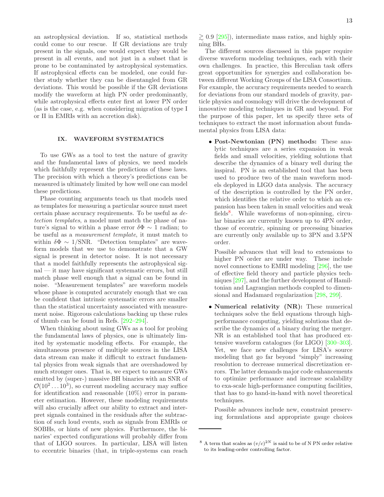an astrophysical deviation. If so, statistical methods could come to our rescue. If GR deviations are truly present in the signals, one would expect they would be present in all events, and not just in a subset that is prone to be contaminated by astrophysical systematics. If astrophysical effects can be modeled, one could further study whether they can be disentangled from GR deviations. This would be possible if the GR deviations modify the waveform at high PN order predominantly, while astrophysical effects enter first at lower PN order (as is the case, e.g. when considering migration of type I or II in EMRIs with an accretion disk).

#### <span id="page-12-0"></span>IX. WAVEFORM SYSTEMATICS

To use GWs as a tool to test the nature of gravity and the fundamental laws of physics, we need models which faithfully represent the predictions of these laws. The precision with which a theory's predictions can be measured is ultimately limited by how well one can model these predictions.

Phase counting arguments teach us that models used as templates for measuring a particular source must meet certain phase accuracy requirements. To be useful as detection templates, a model must match the phase of nature's signal to within a phase error  $\delta \Phi \sim 1$  radian; to be useful as a measurement template, it must match to within  $\delta \Phi \sim 1/\text{SNR}$ . "Detection templates" are waveform models that we use to demonstrate that a GW signal is present in detector noise. It is not necessary that a model faithfully represents the astrophysical signal — it may have significant systematic errors, but still match phase well enough that a signal can be found in noise. "Measurement templates" are waveform models whose phase is computed accurately enough that we can be confident that intrinsic systematic errors are smaller than the statistical uncertainty associated with measurement noise. Rigorous calculations backing up these rules of thumb can be found in Refs. [\[292](#page-20-26)[–294\]](#page-20-27).

When thinking about using GWs as a tool for probing the fundamental laws of physics, one is ultimately limited by systematic modeling effects. For example, the simultaneous presence of multiple sources in the LISA data stream can make it difficult to extract fundamental physics from weak signals that are overshadowed by much stronger ones. That is, we expect to measure GWs emitted by (super-) massive BH binaries with an SNR of  $\mathcal{O}(10^2 \dots 10^3)$ , so current modeling accuracy may suffice for identification and reasonable (10%) error in parameter estimation. However, these modeling requirements will also crucially affect our ability to extract and interpret signals contained in the residuals after the subtraction of such loud events, such as signals from EMRIs or SOBHs, or hints of new physics. Furthermore, the binaries' expected configurations will probably differ from that of LIGO sources. In particular, LISA will listen to eccentric binaries (that, in triple-systems can reach

The different sources discussed in this paper require diverse waveform modeling techniques, each with their own challenges. In practice, this Herculian task offers great opportunities for synergies and collaboration between different Working Groups of the LISA Consortium. For example, the accuracy requirements needed to search for deviations from our standard models of gravity, particle physics and cosmology will drive the development of innovative modeling techniques in GR and beyond. For the purpose of this paper, let us specify three sets of techniques to extract the most information about fundamental physics from LISA data:

• Post-Newtonian (PN) methods: These analytic techniques are a series expansion in weak fields and small velocities, yielding solutions that describe the dynamics of a binary well during the inspiral. PN is an established tool that has been used to produce two of the main waveform models deployed in LIGO data analysis. The accuracy of the description is controlled by the PN order, which identifies the relative order to which an expansion has been taken in small velocities and weak fields<sup>[8](#page-12-1)</sup>. While waveforms of non-spinning, circular binaries are currently known up to 4PN order, those of eccentric, spinning or precessing binaries are currently only available up to 3PN and 3.5PN order.

Possible advances that will lead to extensions to higher PN order are under way. These include novel connections to EMRI modeling [\[296\]](#page-20-29), the use of effective field theory and particle physics techniques [\[297\]](#page-21-0), and the further development of Hamiltonian and Lagrangian methods coupled to dimensional and Hadamard regularization [\[298,](#page-21-1) [299\]](#page-21-2).

• Numerical relativity (NR): These numerical techniques solve the field equations through highperformance computing, yielding solutions that describe the dynamics of a binary during the merger. NR is an established tool that has produced extensive waveform catalogues (for LIGO) [\[300](#page-21-3)[–303\]](#page-21-4). Yet, we face new challenges for LISA's source modeling that go far beyond "simply" increasing resolution to decrease numerical discretization errors. The latter demands major code enhancements to optimize performance and increase scalability to exa-scale high-performance computing facilities, that has to go hand-in-hand with novel theoretical techniques.

Possible advances include new, constraint preserving formulations and appropriate gauge choices

<span id="page-12-1"></span><sup>&</sup>lt;sup>8</sup> A term that scales as  $(v/c)^{2N}$  is said to be of N PN order relative to its leading-order controlling factor.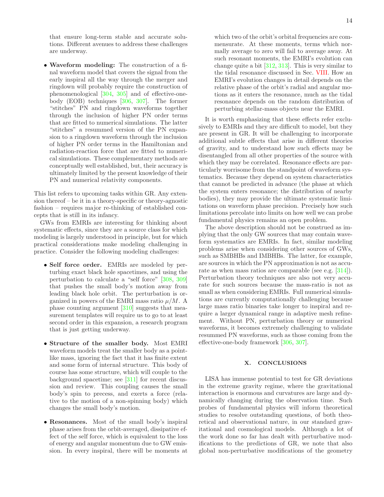that ensure long-term stable and accurate solutions. Different avenues to address these challenges are underway.

• Waveform modeling: The construction of a final waveform model that covers the signal from the early inspiral all the way through the merger and ringdown will probably require the construction of phenomenological [\[304,](#page-21-5) [305](#page-21-6)] and of effective-onebody (EOB) techniques [\[306](#page-21-7), [307](#page-21-8)]. The former "stitches" PN and ringdown waveforms together through the inclusion of higher PN order terms that are fitted to numerical simulations. The latter "stitches" a resummed version of the PN expansion to a ringdown waveform through the inclusion of higher PN order terms in the Hamiltonian and radiation-reaction force that are fitted to numerical simulations. These complementary methods are conceptually well established, but, their accuracy is ultimately limited by the present knowledge of their PN and numerical relativity components.

This list refers to upcoming tasks within GR. Any extension thereof – be it in a theory-specific or theory-agnostic fashion – requires major re-thinking of established concepts that is still in its infancy.

GWs from EMRIs are interesting for thinking about systematic effects, since they are a source class for which modeling is largely understood in principle, but for which practical considerations make modeling challenging in practice. Consider the following modeling challenges:

- Self force order. EMRIs are modeled by perturbing exact black hole spacetimes, and using the perturbation to calculate a "self force" [\[308](#page-21-9), [309\]](#page-21-10) that pushes the small body's motion away from leading black hole orbit. The perturbation is organized in powers of the EMRI mass ratio  $\mu/M$ . A phase counting argument [\[310\]](#page-21-11) suggests that measurement templates will require us to go to at least second order in this expansion, a research program that is just getting underway.
- Structure of the smaller body. Most EMRI waveform models treat the smaller body as a pointlike mass, ignoring the fact that it has finite extent and some form of internal structure. This body of course has some structure, which will couple to the background spacetime; see  $[311]$  for recent discussion and review. This coupling causes the small body's spin to precess, and exerts a force (relative to the motion of a non-spinning body) which changes the small body's motion.
- Resonances. Most of the small body's inspiral phase arises from the orbit-averaged, dissipative effect of the self force, which is equivalent to the loss of energy and angular momentum due to GW emission. In every inspiral, there will be moments at

which two of the orbit's orbital frequencies are commensurate. At these moments, terms which normally average to zero will fail to average away. At such resonant moments, the EMRI's evolution can change quite a bit [\[312,](#page-21-13) [313](#page-21-14)]. This is very similar to the tidal resonance discussed in Sec. [VIII.](#page-11-0) How an EMRI's evolution changes in detail depends on the relative phase of the orbit's radial and angular motions as it enters the resonance, much as the tidal resonance depends on the random distribution of

It is worth emphasizing that these effects refer exclusively to EMRIs and they are difficult to model, but they are present in GR. It will be challenging to incorporate additional subtle effects that arise in different theories of gravity, and to understand how such effects may be disentangled from all other properties of the source with which they may be correlated. Resonance effects are particularly worrisome from the standpoint of waveform systematics. Because they depend on system characteristics that cannot be predicted in advance (the phase at which the system enters resonance; the distribution of nearby bodies), they may provide the ultimate systematic limitations on waveform phase precision. Precisely how such limitations percolate into limits on how well we can probe fundamental physics remains an open problem.

perturbing stellar-mass objects near the EMRI.

The above description should not be construed as implying that the only GW sources that may contain waveform systematics are EMRIs. In fact, similar modeling problems arise when considering other sources of GWs, such as SMBHBs and IMBHBs. The latter, for example, are sources in which the PN approximation is not as accurate as when mass ratios are comparable (see e.g. [\[314\]](#page-21-15)). Perturbation theory techniques are also not very accurate for such sources because the mass-ratio is not as small as when considering EMRIs. Full numerical simulations are currently computationally challenging because large mass ratio binaries take longer to inspiral and require a larger dynamical range in adaptive mesh refinement. Without PN, perturbation theory or numerical waveforms, it becomes extremely challenging to validate resummed PN waveforms, such as those coming from the effective-one-body framework [\[306,](#page-21-7) [307\]](#page-21-8).

## <span id="page-13-0"></span>X. CONCLUSIONS

LISA has immense potential to test for GR deviations in the extreme gravity regime, where the gravitational interaction is enormous and curvatures are large and dynamically changing during the observation time. Such probes of fundamental physics will inform theoretical studies to resolve outstanding questions, of both theoretical and observational nature, in our standard gravitational and cosmological models. Although a lot of the work done so far has dealt with perturbative modifications to the predictions of GR, we note that also global non-perturbative modifications of the geometry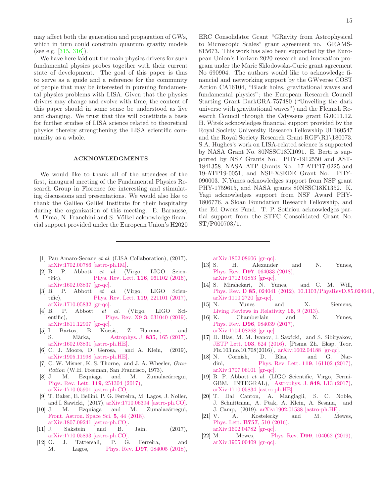may affect both the generation and propagation of GWs, which in turn could constrain quantum gravity models (see e.g.  $[315, 316]$  $[315, 316]$  $[315, 316]$ ).

We have here laid out the main physics drivers for such fundamental physics probes together with their current state of development. The goal of this paper is thus to serve as a guide and a reference for the community of people that may be interested in pursuing fundamental physics problems with LISA. Given that the physics drivers may change and evolve with time, the content of this paper should in some sense be understood as live and changing. We trust that this will constitute a basis for further studies of LISA science related to theoretical physics thereby strengthening the LISA scientific community as a whole.

#### ACKNOWLEDGMENTS

We would like to thank all of the attendees of the first, inaugural meeting of the Fundamental Physics Research Group in Florence for interesting and stimulating discussions and presentations. We would also like to thank the Galileo Galilei Institute for their hospitality during the organization of this meeting. E. Barausse, A. Dima, N. Franchini and S. Völkel acknowledge financial support provided under the European Union's H2020 ERC Consolidator Grant "GRavity from Astrophysical to Microscopic Scales" grant agreement no. GRAMS-815673. This work has also been supported by the European Union's Horizon 2020 research and innovation program under the Marie Sklodowska-Curie grant agreement No 690904. The authors would like to acknowledge financial and networking support by the GWverse COST Action CA16104, "Black holes, gravitational waves and fundamental physics"; the European Research Council Starting Grant DarkGRA-757480 ("Unveiling the dark universe with gravitational waves") and the Flemish Research Council through the Odysseus grant G.0011.12. H. Witek acknowledges financial support provided by the Royal Society University Research Fellowship UF160547 and the Royal Society Research Grant RGF\R1\180073. S.A. Hughes's work on LISA-related science is supported by NASA Grant No. 80NSSC18K1091. E. Berti is supported by NSF Grants No. PHY-1912550 and AST-1841358, NASA ATP Grants No. 17-ATP17-0225 and 19-ATP19-0051, and NSF-XSEDE Grant No. PHY-090003. N.Yunes acknowledges support from NSF grant PHY-1759615, and NASA grants 80NSSC18K1352. K. Yagi acknowledges support from NSF Award PHY-1806776, a Sloan Foundation Research Fellowship, and the Ed Owens Fund. T. P. Sotiriou acknowledges partial support from the STFC Consolidated Grant No. ST/P000703/1.

- <span id="page-14-0"></span>[1] Pau Amaro-Seoane *et al.* (LISA Collaboration), (2017), [arXiv:1702.00786 \[astro-ph.IM\].](http://arxiv.org/abs/1702.00786)
- <span id="page-14-1"></span>[2] B. P. Abbott *et al.* (Virgo, LIGO Scien-tific), [Phys. Rev. Lett.](http://dx.doi.org/10.1103/PhysRevLett.119.161101) **116**, 061102 (2016), [arXiv:1602.03837 \[gr-qc\].](http://arxiv.org/abs/1602.03837)
- [3] B. P. Abbott *et al.* (Virgo, LIGO Scien-tific), [Phys. Rev. Lett.](http://dx.doi.org/10.1103/PhysRevLett.119.161101) **119**, 221101 (2017), [arXiv:1710.05832 \[gr-qc\].](http://arxiv.org/abs/1710.05832)
- <span id="page-14-2"></span>[4] B. P. Abbott *et al.* (Virgo, LIGO Scientific), Phys. Rev. X9 **3**[, 031040 \(2019\),](http://dx.doi.org/10.1103/PhysRevX.9.031040) [arXiv:1811.12907 \[gr-qc\].](http://arxiv.org/abs/1811.12907)
- <span id="page-14-3"></span>[5] I. Bartos, B. Kocsis, Z. Haiman, and S. Màrka, [Astrophys. J.](http://dx.doi.org/ 10.3847/1538-4357/835/2/165) 835, 165 (2017), [arXiv:1602.03831 \[astro-ph.HE\].](http://arxiv.org/abs/1602.03831)
- <span id="page-14-4"></span>[6] C. J. Moore, D. Gerosa, and A. Klein, (2019), [arXiv:1905.11998 \[astro-ph.HE\].](http://arxiv.org/abs/1905.11998)
- <span id="page-14-5"></span>[7] C. W. Misner, K. S. Thorne, and J. A. Wheeler, *Gravitation* (W.H. Freeman, San Francisco, 1973).
- <span id="page-14-6"></span>[8] J. M. Ezquiaga and M. Zumalacárregui, [Phys. Rev. Lett.](http://dx.doi.org/10.1103/PhysRevLett.119.251304) 119, 251304 (2017), [arXiv:1710.05901 \[astro-ph.CO\].](http://arxiv.org/abs/1710.05901)
- [9] T. Baker, E. Bellini, P. G. Ferreira, M. Lagos, J. Noller, and I. Sawicki, (2017), [arXiv:1710.06394 \[astro-ph.CO\].](http://arxiv.org/abs/1710.06394)
- [10] J. M. Ezquiaga and M. Zumalacárregui, [Front. Astron. Space Sci.](http://dx.doi.org/10.3389/fspas.2018.00044) 5, 44 (2018), [arXiv:1807.09241 \[astro-ph.CO\].](http://arxiv.org/abs/1807.09241)
- <span id="page-14-7"></span>[11] J. Sakstein and B. Jain, (2017), [arXiv:1710.05893 \[astro-ph.CO\].](http://arxiv.org/abs/1710.05893)
- <span id="page-14-8"></span>[12] O. J. Tattersall, P. G. Ferreira, and M. Lagos, Phys. Rev. **D97**[, 084005 \(2018\),](http://dx.doi.org/10.1103/PhysRevD.97.084005)

[arXiv:1802.08606 \[gr-qc\].](http://arxiv.org/abs/1802.08606)<br>[13] S. H. Alexander

- <span id="page-14-9"></span>H. Alexander and N. Yunes, Phys. Rev. D97[, 064033 \(2018\),](http://dx.doi.org/10.1103/PhysRevD.97.064033) [arXiv:1712.01853 \[gr-qc\].](http://arxiv.org/abs/1712.01853)
- <span id="page-14-10"></span>[14] S. Mirshekari, N. Yunes, and C. M. Will, Phys. Rev. D 85[, 024041 \(2012\), 10.1103/PhysRevD.85.024041,](http://dx.doi.org/10.1103/PhysRevD.85.024041) [arXiv:1110.2720 \[gr-qc\].](http://arxiv.org/abs/1110.2720)
- <span id="page-14-11"></span>[15] N. Yunes and X. Siemens, [Living Reviews in Relativity](http://dx.doi.org/10.12942/lrr-2013-9) 16, 9 (2013).
- <span id="page-14-12"></span>[16] K. Chamberlain and N. Yunes, Phys. Rev. D96[, 084039 \(2017\),](http://dx.doi.org/10.1103/PhysRevD.96.084039) [arXiv:1704.08268 \[gr-qc\].](http://arxiv.org/abs/1704.08268)
- <span id="page-14-13"></span>[17] D. Blas, M. M. Ivanov, I. Sawicki, and S. Sibiryakov, JETP Lett. 103[, 624 \(2016\),](http://dx.doi.org/10.1134/S0021364016100040, 10.7868/S0370274X16100039) [Pisma Zh. Eksp. Teor. Fiz.103,no.10,708(2016)], [arXiv:1602.04188 \[gr-qc\].](http://arxiv.org/abs/1602.04188)
- <span id="page-14-14"></span>[18] N. Cornish, D. Blas, and G. Nar-dini, [Phys. Rev. Lett.](http://dx.doi.org/10.1103/PhysRevLett.119.161102) **119**, 161102 (2017), [arXiv:1707.06101 \[gr-qc\].](http://arxiv.org/abs/1707.06101)
- <span id="page-14-15"></span>[19] B. P. Abbott *et al.* (LIGO Scientific, Virgo, Fermi-GBM, INTEGRAL), [Astrophys. J.](http://dx.doi.org/10.3847/2041-8213/aa920c) 848, L13 (2017), [arXiv:1710.05834 \[astro-ph.HE\].](http://arxiv.org/abs/1710.05834)
- <span id="page-14-16"></span>[20] T. Dal Canton, A. Mangiagli, S. C. Noble, J. Schnittman, A. Ptak, A. Klein, A. Sesana, and J. Camp, (2019), [arXiv:1902.01538 \[astro-ph.HE\].](http://arxiv.org/abs/1902.01538)
- <span id="page-14-17"></span>[21] V. A. Kostelecky and M. Mewes, Phys. Lett. B757[, 510 \(2016\),](http://dx.doi.org/10.1016/j.physletb.2016.04.040) [arXiv:1602.04782 \[gr-qc\].](http://arxiv.org/abs/1602.04782)
- <span id="page-14-18"></span>[22] M. Mewes, Phys. Rev. **D99**[, 104062 \(2019\),](http://dx.doi.org/10.1103/PhysRevD.99.104062) [arXiv:1905.00409 \[gr-qc\].](http://arxiv.org/abs/1905.00409)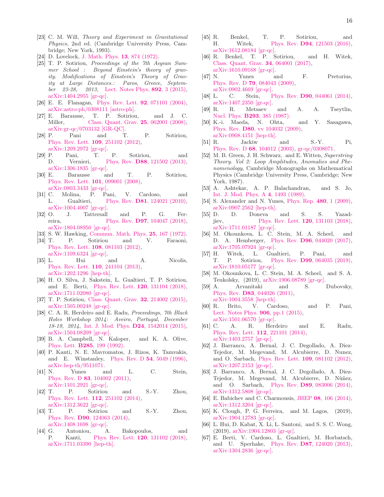- <span id="page-15-0"></span>[23] C. M. Will, *Theory and Experiment in Gravitational Physics*, 2nd ed. (Cambridge University Press, Cambridge; New York, 1993).
- <span id="page-15-1"></span>[24] D. Lovelock, [J. Math. Phys.](http://dx.doi.org/10.1063/1.1666069) **13**, 874 (1972).
- <span id="page-15-2"></span>[25] T. P. Sotiriou, *Proceedings of the 7th Aegean Summer School : Beyond Einstein's theory of gravity. Modifications of Einstein's Theory of Gravity at Large Distances.: Paros, Greece, September 23-28, 2013*, [Lect. Notes Phys.](http://dx.doi.org/ 10.1007/978-3-319-10070-8_1) 892, 3 (2015), [arXiv:1404.2955 \[gr-qc\].](http://arxiv.org/abs/1404.2955)
- <span id="page-15-3"></span>[26] E. E. Flanagan, [Phys. Rev. Lett.](http://dx.doi.org/10.1103/PhysRevLett.92.071101) **92**, 071101 (2004), [arXiv:astro-ph/0308111 \[astro-ph\].](http://arxiv.org/abs/astro-ph/0308111)
- [27] E. Barausse, T. P. Sotiriou, and J. C. Miller, [Class. Quant. Grav.](http://dx.doi.org/10.1088/0264-9381/25/6/062001) **25**, 062001 (2008), [arXiv:gr-qc/0703132 \[GR-QC\].](http://arxiv.org/abs/gr-qc/0703132)
- [28] P. Pani and T. P. Sotiriou, [Phys. Rev. Lett.](http://dx.doi.org/10.1103/PhysRevLett.109.251102) 109, 251102 (2012), [arXiv:1209.2972 \[gr-qc\].](http://arxiv.org/abs/1209.2972)
- <span id="page-15-4"></span>[29] P. Pani, T. P. Sotiriou, and D. Vernieri, Phys. Rev. **D88**[, 121502 \(2013\),](http://dx.doi.org/10.1103/PhysRevD.88.121502) [arXiv:1306.1835 \[gr-qc\].](http://arxiv.org/abs/1306.1835)
- <span id="page-15-5"></span>[30] E. Barausse and T. P. Sotiriou, [Phys. Rev. Lett.](http://dx.doi.org/10.1103/PhysRevLett.101.099001) 101, 099001 (2008), [arXiv:0803.3433 \[gr-qc\].](http://arxiv.org/abs/0803.3433)
- <span id="page-15-30"></span>[31] C. Molina, P. Pani, V. Cardoso, and L. Gualtieri, Phys. Rev. D81[, 124021 \(2010\),](http://dx.doi.org/10.1103/PhysRevD.81.124021) [arXiv:1004.4007 \[gr-qc\].](http://arxiv.org/abs/1004.4007)<br>[32] O. J. Tattersall
- <span id="page-15-6"></span>J. Tattersall and P. G. Ferreira, Phys. Rev. **D97**[, 104047 \(2018\),](http://dx.doi.org/10.1103/PhysRevD.97.104047) [arXiv:1804.08950 \[gr-qc\].](http://arxiv.org/abs/1804.08950)
- <span id="page-15-7"></span>[33] S. W. Hawking, [Commun. Math. Phys.](http://dx.doi.org/10.1007/BF01877518) 25, 167 (1972).
- [34] T. P. Sotiriou and V. Faraoni, [Phys. Rev. Lett.](http://dx.doi.org/10.1103/PhysRevLett.108.081103) 108, 081103 (2012), [arXiv:1109.6324 \[gr-qc\].](http://arxiv.org/abs/1109.6324)
- [35] L. Hui and A. Nicolis, [Phys. Rev. Lett.](http://dx.doi.org/10.1103/PhysRevLett.110.241104) 110, 241104 (2013), [arXiv:1202.1296 \[hep-th\].](http://arxiv.org/abs/1202.1296)
- <span id="page-15-17"></span>[36] H. O. Silva, J. Sakstein, L. Gualtieri, T. P. Sotiriou, and E. Berti, [Phys. Rev. Lett.](http://dx.doi.org/ 10.1103/PhysRevLett.120.131104) 120, 131104 (2018), [arXiv:1711.02080 \[gr-qc\].](http://arxiv.org/abs/1711.02080)
- [37] T. P. Sotiriou, [Class. Quant. Grav.](http://dx.doi.org/10.1088/0264-9381/32/21/214002) 32, 214002 (2015), [arXiv:1505.00248 \[gr-qc\].](http://arxiv.org/abs/1505.00248)
- <span id="page-15-8"></span>[38] C. A. R. Herdeiro and E. Radu, *Proceedings, 7th Black Holes Workshop 2014: Aveiro, Portugal, December 18-19, 2014*, [Int. J. Mod. Phys.](http://dx.doi.org/10.1142/S0218271815420146) D24, 1542014 (2015), [arXiv:1504.08209 \[gr-qc\].](http://arxiv.org/abs/1504.08209)
- <span id="page-15-9"></span>[39] B. A. Campbell, N. Kaloper, and K. A. Olive, Phys. Lett. B285[, 199 \(1992\).](http://dx.doi.org/10.1016/0370-2693(92)91452-F)
- [40] P. Kanti, N. E. Mavromatos, J. Rizos, K. Tamvakis, and E. Winstanley, Phys. Rev. D 54[, 5049 \(1996\),](http://dx.doi.org/10.1103/PhysRevD.54.5049) [arXiv:hep-th/9511071.](http://arxiv.org/abs/hep-th/9511071)
- [41] N. Yunes and L. C. Stein, Phys. Rev. D 83[, 104002 \(2011\),](http://dx.doi.org/10.1103/PhysRevD.83.104002) [arXiv:1101.2921 \[gr-qc\].](http://arxiv.org/abs/1101.2921)
- [42] T. P. Sotiriou and S.-Y. Zhou, [Phys. Rev. Lett.](http://dx.doi.org/10.1103/PhysRevLett.112.251102) 112, 251102 (2014), [arXiv:1312.3622 \[gr-qc\].](http://arxiv.org/abs/1312.3622)
- [43] T. P. Sotiriou and S.-Y. Zhou, Phys. Rev. D90[, 124063 \(2014\),](http://dx.doi.org/10.1103/PhysRevD.90.124063) [arXiv:1408.1698 \[gr-qc\].](http://arxiv.org/abs/1408.1698)
- [44] G. Antoniou, A. Bakopoulos, and P. Kanti, [Phys. Rev. Lett.](http://dx.doi.org/10.1103/PhysRevLett.120.131102) 120, 131102 (2018), [arXiv:1711.03390 \[hep-th\].](http://arxiv.org/abs/1711.03390)
- [45] R. Benkel, T. P. Sotiriou, and H. Witek, Phys. Rev. D94[, 121503 \(2016\),](http://dx.doi.org/10.1103/PhysRevD.94.121503) [arXiv:1612.08184 \[gr-qc\].](http://arxiv.org/abs/1612.08184)
- <span id="page-15-10"></span>[46] R. Benkel, T. P. Sotiriou, and H. Witek, [Class. Quant. Grav.](http://dx.doi.org/10.1088/1361-6382/aa5ce7) 34, 064001 (2017), [arXiv:1610.09168 \[gr-qc\].](http://arxiv.org/abs/1610.09168)
- <span id="page-15-11"></span>[47] N. Yunes and F. Pretorius, Phys. Rev. D 79[, 084043 \(2009\),](http://dx.doi.org/10.1103/PhysRevD.79.084043) [arXiv:0902.4669 \[gr-qc\].](http://arxiv.org/abs/0902.4669)
- <span id="page-15-12"></span>[48] L. C. Stein, Phys. Rev. **D90**[, 044061 \(2014\),](http://dx.doi.org/10.1103/PhysRevD.90.044061) [arXiv:1407.2350 \[gr-qc\].](http://arxiv.org/abs/1407.2350)
- <span id="page-15-13"></span>[49] R. R. Metsaev and A. A. Tseytlin, Nucl. Phys. B293[, 385 \(1987\).](http://dx.doi.org/10.1016/0550-3213(87)90077-0)
- [50] K.-i. Maeda, N. Ohta, and Y. Sasagawa, Phys. Rev. D80[, vv 104032 \(2009\),](http://dx.doi.org/10.1103/PhysRevD.80.104032) [arXiv:0908.4151 \[hep-th\].](http://arxiv.org/abs/0908.4151)
- <span id="page-15-15"></span>[51] R. Jackiw and S.-Y. Pi, Phys. Rev. D 68[, 104012 \(2003\),](http://dx.doi.org/10.1103/PhysRevD.68.104012) [gr-qc/0308071.](http://arxiv.org/abs/gr-qc/0308071)
- [52] M. B. Green, J. H. Schwarz, and E. Witten, *Superstring Theory. Vol 2: Loop Amplitudes, Anomalies and Phenomenology*, Cambridge Monographs on Mathematical Physics (Cambridge University Press, Cambridge; New York, 1987).
- <span id="page-15-14"></span>[53] A. Ashtekar, A. P. Balachandran, and S. Jo, [Int. J. Mod. Phys. A](http://dx.doi.org/10.1142/S0217751X89000649) 4, 1493 (1989).
- <span id="page-15-16"></span>[54] S. Alexander and N. Yunes, [Phys. Rep.](http://dx.doi.org/10.1016/j.physrep.2009.07.002) 480, 1 (2009), [arXiv:0907.2562 \[hep-th\].](http://arxiv.org/abs/0907.2562)
- <span id="page-15-18"></span>[55] D. D. Doneva and S. S. Yazadjiev, [Phys. Rev. Lett.](http://dx.doi.org/10.1103/PhysRevLett.120.131103) 120, 131103 (2018), [arXiv:1711.01187 \[gr-qc\].](http://arxiv.org/abs/1711.01187)
- <span id="page-15-19"></span>[56] M. Okounkova, L. C. Stein, M. A. Scheel, and D. A. Hemberger, Phys. Rev. D96[, 044020 \(2017\),](http://dx.doi.org/10.1103/PhysRevD.96.044020) [arXiv:1705.07924 \[gr-qc\].](http://arxiv.org/abs/1705.07924)
- <span id="page-15-21"></span>[57] H. Witek, L. Gualtieri, P. Pani, and T. P. Sotiriou, Phys. Rev. D99[, 064035 \(2019\),](http://dx.doi.org/ 10.1103/PhysRevD.99.064035) [arXiv:1810.05177 \[gr-qc\].](http://arxiv.org/abs/1810.05177)
- <span id="page-15-20"></span>[58] M. Okounkova, L. C. Stein, M. A. Scheel, and S. A. Teukolsky, (2019), [arXiv:1906.08789 \[gr-qc\].](http://arxiv.org/abs/1906.08789)
- <span id="page-15-22"></span>[59] A. Arvanitaki and S. Dubovsky, Phys. Rev. D83[, 044026 \(2011\),](http://dx.doi.org/10.1103/PhysRevD.83.044026) [arXiv:1004.3558 \[hep-th\].](http://arxiv.org/abs/1004.3558)
- <span id="page-15-23"></span>[60] R. Brito, V. Cardoso, and P. Pani, [Lect. Notes Phys.](http://dx.doi.org/10.1007/978-3-319-19000-6) 906, pp.1 (2015), [arXiv:1501.06570 \[gr-qc\].](http://arxiv.org/abs/1501.06570)
- <span id="page-15-24"></span>[61] C. A. R. Herdeiro and E. Radu, [Phys. Rev. Lett.](http://dx.doi.org/10.1103/PhysRevLett.112.221101) 112, 221101 (2014), [arXiv:1403.2757 \[gr-qc\].](http://arxiv.org/abs/1403.2757)
- <span id="page-15-25"></span>[62] J. Barranco, A. Bernal, J. C. Degollado, A. Diez-Tejedor, M. Megevand, M. Alcubierre, D. Nunez, and O. Sarbach, [Phys. Rev. Lett.](http://dx.doi.org/ 10.1103/PhysRevLett.109.081102) 109, 081102 (2012), [arXiv:1207.2153 \[gr-qc\].](http://arxiv.org/abs/1207.2153)
- <span id="page-15-26"></span>[63] J. Barranco, A. Bernal, J. C. Degollado, A. Diez-Tejedor, M. Megevand, M. Alcubierre, D. Nùñez, and O. Sarbach, Phys. Rev. D89[, 083006 \(2014\),](http://dx.doi.org/ 10.1103/PhysRevD.89.083006) [arXiv:1312.5808 \[gr-qc\].](http://arxiv.org/abs/1312.5808)
- <span id="page-15-27"></span>[64] E. Babichev and C. Charmousis, JHEP 08[, 106 \(2014\),](http://dx.doi.org/10.1007/JHEP08(2014)106) [arXiv:1312.3204 \[gr-qc\].](http://arxiv.org/abs/1312.3204)
- [65] K. Clough, P. G. Ferreira, and M. Lagos, (2019), [arXiv:1904.12783 \[gr-qc\].](http://arxiv.org/abs/1904.12783)
- <span id="page-15-29"></span>[66] L. Hui, D. Kabat, X. Li, L. Santoni, and S. S. C. Wong, (2019), [arXiv:1904.12803 \[gr-qc\].](http://arxiv.org/abs/1904.12803)
- <span id="page-15-28"></span>[67] E. Berti, V. Cardoso, L. Gualtieri, M. Horbatsch, and U. Sperhake, Phys. Rev. D87[, 124020 \(2013\),](http://dx.doi.org/ 10.1103/PhysRevD.87.124020) [arXiv:1304.2836 \[gr-qc\].](http://arxiv.org/abs/1304.2836)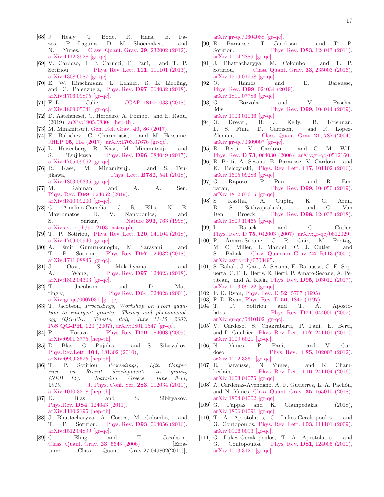- <span id="page-16-0"></span>[68] J. Healy, T. Bode, R. Haas, E. Pazos, P. Laguna, D. M. Shoemaker, and N. Yunes, [Class. Quant. Grav.](http://dx.doi.org/10.1088/0264-9381/29/23/232002) 29, 232002 (2012), [arXiv:1112.3928 \[gr-qc\].](http://arxiv.org/abs/1112.3928)
- <span id="page-16-1"></span>[69] V. Cardoso, I. P. Carucci, P. Pani, and T. P. Sotiriou, [Phys. Rev. Lett.](http://dx.doi.org/10.1103/PhysRevLett.111.111101) **111**, 111101 (2013), [arXiv:1308.6587 \[gr-qc\].](http://arxiv.org/abs/1308.6587)
- <span id="page-16-2"></span>[70] E. W. Hirschmann, L. Lehner, S. L. Liebling, and C. Palenzuela, Phys. Rev. D97[, 064032 \(2018\),](http://dx.doi.org/10.1103/PhysRevD.97.064032) [arXiv:1706.09875 \[gr-qc\].](http://arxiv.org/abs/1706.09875)
- [71] F.-L. Juliè, JCAP 1810[, 033 \(2018\),](http://dx.doi.org/10.1088/1475-7516/2018/10/033) [arXiv:1809.05041 \[gr-qc\].](http://arxiv.org/abs/1809.05041)
- <span id="page-16-3"></span>[72] D. Astefanesei, C. Herdeiro, A. Pombo, and E. Radu, (2019), [arXiv:1905.08304 \[hep-th\].](http://arxiv.org/abs/1905.08304)
- <span id="page-16-4"></span>[73] M. Minamitsuji, [Gen. Rel. Grav.](http://dx.doi.org/10.1007/s10714-017-2250-7) 49, 86 (2017).
- [74] E. Babichev, C. Charmousis, and M. Hassaine, JHEP 05[, 114 \(2017\),](http://dx.doi.org/10.1007/JHEP05(2017)114) [arXiv:1703.07676 \[gr-qc\].](http://arxiv.org/abs/1703.07676)
- [75] L. Heisenberg, R. Kase, M. Minamitsuji, and S. Tsujikawa, Phys. Rev. D96[, 084049 \(2017\),](http://dx.doi.org/10.1103/PhysRevD.96.084049) [arXiv:1705.09662 \[gr-qc\].](http://arxiv.org/abs/1705.09662)
- [76] R. Kase, M. Minamitsuji, and S. Tsujikawa, Phys. Lett. **B782**[, 541 \(2018\),](http://dx.doi.org/10.1016/j.physletb.2018.05.078) [arXiv:1803.06335 \[gr-qc\].](http://arxiv.org/abs/1803.06335)
- <span id="page-16-5"></span>[77] M. Rahman and A. A. Sen, Phys. Rev. D99[, 024052 \(2019\),](http://dx.doi.org/10.1103/PhysRevD.99.024052) [arXiv:1810.09200 \[gr-qc\].](http://arxiv.org/abs/1810.09200)
- <span id="page-16-6"></span>[78] G. Amelino-Camelia, J. R. Ellis, N. E. Mavromatos, D. V. Nanopoulos, and S. Sarkar, Nature **393**[, 763 \(1998\),](http://dx.doi.org/10.1038/31647) [arXiv:astro-ph/9712103 \[astro-ph\].](http://arxiv.org/abs/astro-ph/9712103)
- <span id="page-16-7"></span>[79] T. P. Sotiriou, [Phys. Rev. Lett.](http://dx.doi.org/10.1103/PhysRevLett.120.041104) 120, 041104 (2018), [arXiv:1709.00940 \[gr-qc\].](http://arxiv.org/abs/1709.00940)
- <span id="page-16-8"></span>[80] A. Emir Gumrukcuoglu, M. Saravani, and T. P. Sotiriou, Phys. Rev. D97[, 024032 \(2018\),](http://dx.doi.org/10.1103/PhysRevD.97.024032) [arXiv:1711.08845 \[gr-qc\].](http://arxiv.org/abs/1711.08845)
- <span id="page-16-9"></span>[81] J. Oost, S. Mukohyama, and A. Wang, Phys. Rev. D97[, 124023 \(2018\),](http://dx.doi.org/10.1103/PhysRevD.97.124023) [arXiv:1802.04303 \[gr-qc\].](http://arxiv.org/abs/1802.04303)
- <span id="page-16-10"></span>[82] T. Jacobson and D. Mattingly, Phys.Rev. **D64**[, 024028 \(2001\),](http://dx.doi.org/10.1103/PhysRevD.64.024028) [arXiv:gr-qc/0007031 \[gr-qc\].](http://arxiv.org/abs/gr-qc/0007031)
- <span id="page-16-11"></span>[83] T. Jacobson, *Proceedings, Workshop on From quantum to emergent gravity: Theory and phenomenology (QG-Ph): Trieste, Italy, June 11-15, 2007*, PoS QG-PH[, 020 \(2007\),](http://dx.doi.org/ 10.22323/1.043.0020) [arXiv:0801.1547 \[gr-qc\].](http://arxiv.org/abs/0801.1547)
- <span id="page-16-12"></span>[84] P. Horava, Phys. Rev. **D79**[, 084008 \(2009\),](http://dx.doi.org/10.1103/PhysRevD.79.084008) [arXiv:0901.3775 \[hep-th\].](http://arxiv.org/abs/0901.3775)
- [85] D. Blas, O. Pujolas, and S. Sibiryakov, Phys.Rev.Lett. 104[, 181302 \(2010\),](http://dx.doi.org/10.1103/PhysRevLett.104.181302) [arXiv:0909.3525 \[hep-th\].](http://arxiv.org/abs/0909.3525)
- <span id="page-16-13"></span>[86] T. P. Sotiriou, *Proceedings, 14th Conference on Recent developments in gravity (NEB 14): Ioannina, Greece, June 8-11, 2010*, [J. Phys. Conf. Ser.](http://dx.doi.org/ 10.1088/1742-6596/283/1/012034) 283, 012034 (2011), [arXiv:1010.3218 \[hep-th\].](http://arxiv.org/abs/1010.3218)
- <span id="page-16-14"></span>[87] D. Blas and S. Sibiryakov, Phys.Rev. D84[, 124043 \(2011\),](http://dx.doi.org/10.1103/PhysRevD.84.124043) [arXiv:1110.2195 \[hep-th\].](http://arxiv.org/abs/1110.2195)
- <span id="page-16-15"></span>[88] J. Bhattacharyya, A. Coates, M. Colombo, and T. P. Sotiriou, Phys. Rev. D93[, 064056 \(2016\),](http://dx.doi.org/10.1103/PhysRevD.93.064056) [arXiv:1512.04899 \[gr-qc\].](http://arxiv.org/abs/1512.04899)
- <span id="page-16-16"></span>[89] C. Eling and T. Jacobson, [Class. Quant. Grav.](http://dx.doi.org/10.1088/0264-9381/23/18/009, 10.1088/0264-9381/27/4/049802) 23, 5643 (2006), [Erratum: Class. Quant. Grav.27,049802(2010)],

[arXiv:gr-qc/0604088 \[gr-qc\].](http://arxiv.org/abs/gr-qc/0604088)

- <span id="page-16-17"></span>[90] E. Barausse, T. Jacobson, and T. P. Sotiriou, Phys. Rev. **D83**[, 124043 \(2011\),](http://dx.doi.org/10.1103/PhysRevD.83.124043) [arXiv:1104.2889 \[gr-qc\].](http://arxiv.org/abs/1104.2889)
- <span id="page-16-18"></span>[91] J. Bhattacharyya, M. Colombo, and T. P. Sotiriou, [Class. Quant. Grav.](http://dx.doi.org/10.1088/0264-9381/33/23/235003) 33, 235003 (2016), [arXiv:1509.01558 \[gr-qc\].](http://arxiv.org/abs/1509.01558)
- <span id="page-16-19"></span>[92] O. Ramos and E. Barausse, Phys. Rev. D99[, 024034 \(2019\),](http://dx.doi.org/10.1103/PhysRevD.99.024034) [arXiv:1811.07786 \[gr-qc\].](http://arxiv.org/abs/1811.07786)
- <span id="page-16-22"></span>[93] G. Bozzola and V. Paschalidis, Phys. Rev. **D99**[, 104044 \(2019\),](http://dx.doi.org/10.1103/PhysRevD.99.104044) [arXiv:1903.01036 \[gr-qc\].](http://arxiv.org/abs/1903.01036)
- <span id="page-16-20"></span>[94] O. Dreyer, B. J. Kelly, B. Krishnan, L. S. Finn, D. Garrison, and R. Lopez-Aleman, [Class. Quant. Grav.](http://dx.doi.org/ 10.1088/0264-9381/21/4/003) **21**, 787 (2004), [arXiv:gr-qc/0309007 \[gr-qc\].](http://arxiv.org/abs/gr-qc/0309007)
- [95] E. Berti, V. Cardoso, and C. M. Will, Phys. Rev. D 73[, 064030 \(2006\),](http://dx.doi.org/10.1103/PhysRevD.73.064030) [arXiv:gr-qc/0512160.](http://arxiv.org/abs/gr-qc/0512160)
- <span id="page-16-21"></span>[96] E. Berti, A. Sesana, E. Barausse, V. Cardoso, and K. Belczynski, [Phys. Rev. Lett.](http://dx.doi.org/ 10.1103/PhysRevLett.117.101102) 117, 101102 (2016), [arXiv:1605.09286 \[gr-qc\].](http://arxiv.org/abs/1605.09286)
- <span id="page-16-23"></span>[97] G. Raposo, P. Pani, and R. Emparan, Phys. Rev. **D99**[, 104050 \(2019\),](http://dx.doi.org/10.1103/PhysRevD.99.104050) [arXiv:1812.07615 \[gr-qc\].](http://arxiv.org/abs/1812.07615)<br>[98] S. Kastha, A.
- <span id="page-16-24"></span>Kastha, A. Gupta, K. G. Arun, S. Sathvaprakash. and C. Van B. S. Sathyaprakash, and C. Den Broeck, Phys. Rev. D98[, 124033 \(2018\),](http://dx.doi.org/10.1103/PhysRevD.98.124033) [arXiv:1809.10465 \[gr-qc\].](http://arxiv.org/abs/1809.10465)
- <span id="page-16-25"></span>[99] L. Barack and C. Cutler, Phys. Rev. D 75[, 042003 \(2007\),](http://dx.doi.org/10.1103/PhysRevD.75.042003) [arXiv:gr-qc/0612029.](http://arxiv.org/abs/gr-qc/0612029)
- [100] P. Amaro-Seoane, J. R. Gair, M. Freitag, M. C. Miller, I. Mandel, C. J. Cutler, and S. Babak, [Class. Quantum Grav.](http://dx.doi.org/ 10.1088/0264-9381/24/17/R01) 24, R113 (2007), [arXiv:astro-ph/0703495.](http://arxiv.org/abs/astro-ph/0703495)
- <span id="page-16-26"></span>[101] S. Babak, J. Gair, A. Sesana, E. Barausse, C. F. Sopuerta, C. P. L. Berry, E. Berti, P. Amaro-Seoane, A. Petiteau, and A. Klein, Phys. Rev. D95[, 103012 \(2017\),](http://dx.doi.org/10.1103/PhysRevD.95.103012) [arXiv:1703.09722 \[gr-qc\].](http://arxiv.org/abs/1703.09722)
- [102] F. D. Ryan, *Phys. Rev. D* **52**[, 5707 \(1995\).](http://dx.doi.org/10.1103/PhysRevD.52.5707)
- [103] F. D. Ryan, *Phys. Rev. D* 56[, 1845 \(1997\).](http://dx.doi.org/10.1103/PhysRevD.56.1845)
- <span id="page-16-27"></span>[104] T. P. Sotiriou and T. A. Apostolatos, Phys. Rev. **D71**[, 044005 \(2005\),](http://dx.doi.org/10.1103/PhysRevD.71.044005)  $arXiv:gr-qc/0410102$  [gr-qc].
- <span id="page-16-28"></span>[105] V. Cardoso, S. Chakrabarti, P. Pani, E. Berti, and L. Gualtieri, [Phys. Rev. Lett.](http://dx.doi.org/ 10.1103/PhysRevLett.107.241101) 107, 241101 (2011), [arXiv:1109.6021 \[gr-qc\].](http://arxiv.org/abs/1109.6021)
- [106] N. Yunes, P. Pani, and V. Cardoso, Phys. Rev. D **85**[, 102003 \(2012\),](http://dx.doi.org/10.1103/PhysRevD.85.102003) [arXiv:1112.3351 \[gr-qc\].](http://arxiv.org/abs/1112.3351)
- <span id="page-16-29"></span>[107] E. Barausse, N. Yunes, and K. Cham-berlain, [Phys. Rev. Lett.](http://dx.doi.org/10.1103/PhysRevLett.116.241104) **116**, 241104 (2016), [arXiv:1603.04075 \[gr-qc\].](http://arxiv.org/abs/1603.04075)
- <span id="page-16-30"></span>[108] A. Cardenas-Avendaño, A. F. Gutierrez, L. A. Pachón, and N. Yunes, [Class. Quant. Grav.](http://dx.doi.org/10.1088/1361-6382/aad06f) 35, 165010 (2018), [arXiv:1804.04002 \[gr-qc\].](http://arxiv.org/abs/1804.04002)
- <span id="page-16-31"></span>[109] G. Pappas and K. Glampedakis, (2018), [arXiv:1806.04091 \[gr-qc\].](http://arxiv.org/abs/1806.04091)
- <span id="page-16-32"></span>[110] T. A. Apostolatos, G. Lukes-Gerakopoulos, and G. Contopoulos, [Phys. Rev. Lett.](http://dx.doi.org/ 10.1103/PhysRevLett.103.111101) 103, 111101 (2009), [arXiv:0906.0093 \[gr-qc\].](http://arxiv.org/abs/0906.0093)
- [111] G. Lukes-Gerakopoulos, T. A. Apostolatos, and G. Contopoulos, Phys. Rev. D81[, 124005 \(2010\),](http://dx.doi.org/10.1103/PhysRevD.81.124005) [arXiv:1003.3120 \[gr-qc\].](http://arxiv.org/abs/1003.3120)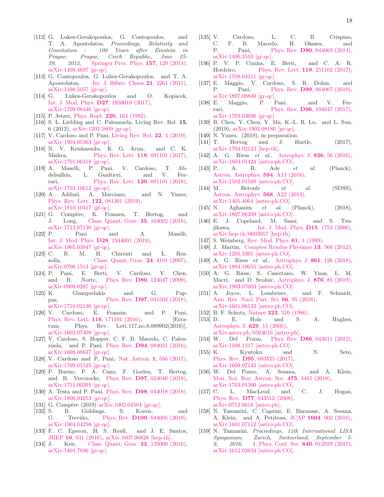- [112] G. Lukes-Gerakopoulos, G. Contopoulos, and T. A. Apostolatos, *Proceedings, Relativity and Gravitation : 100 Years after Einstein in Prague: Prague, Czech Republic, June 25- 29, 2012*, [Springer Proc. Phys.](http://dx.doi.org/ 10.1007/978-3-319-06761-2_16) 157, 129 (2014), [arXiv:1408.4697 \[gr-qc\].](http://arxiv.org/abs/1408.4697)
- [113] G. Contopoulos, G. Lukes-Gerakopoulos, and T. A. Apostolatos, [Int. J. Bifurc. Chaos](http://dx.doi.org/10.1142/S0218127411029768) 21, 2261 (2011), [arXiv:1108.5057 \[gr-qc\].](http://arxiv.org/abs/1108.5057)
- <span id="page-17-0"></span>[114] G. Lukes-Gerakopoulos and O. Kopàcek, [Int. J. Mod. Phys.](http://dx.doi.org/10.1142/S0218271818500104) D27, 1850010 (2017), [arXiv:1709.08446 \[gr-qc\].](http://arxiv.org/abs/1709.08446)
- <span id="page-17-1"></span>[115] P. Jetzer, Phys. Rept. **220**[, 163 \(1992\).](http://dx.doi.org/10.1016/0370-1573(92)90123-H)
- <span id="page-17-2"></span>[116] S. L. Liebling and C. Palenzuela, Living Rev. Rel. 15, 6 (2012), [arXiv:1202.5809 \[gr-qc\].](http://arxiv.org/abs/1202.5809)
- <span id="page-17-3"></span>[117] V. Cardoso and P. Pani, [Living Rev. Rel.](http://dx.doi.org/10.1007/s41114-019-0020-4) **22**, 4 (2019), [arXiv:1904.05363 \[gr-qc\].](http://arxiv.org/abs/1904.05363)
- <span id="page-17-4"></span>[118] N. V. Krishnendu, K. G. Arun, and C. K. Mishra, [Phys. Rev. Lett.](http://dx.doi.org/10.1103/PhysRevLett.119.091101) **119**, 091101 (2017), [arXiv:1701.06318 \[gr-qc\].](http://arxiv.org/abs/1701.06318)
- [119] A. Maselli, P. Pani, V. Cardoso, T. Abdelsalhin, L. Gualtieri, and V. Fer-rari, [Phys. Rev. Lett.](http://dx.doi.org/ 10.1103/PhysRevLett.120.081101) **120**, 081101 (2018), [arXiv:1703.10612 \[gr-qc\].](http://arxiv.org/abs/1703.10612)
- [120] A. Addazi, A. Marciano, and N. Yunes, [Phys. Rev. Lett.](http://dx.doi.org/10.1103/PhysRevLett.122.081301) 122, 081301 (2019), [arXiv:1810.10417 \[gr-qc\].](http://arxiv.org/abs/1810.10417)
- <span id="page-17-5"></span>[121] G. Compère, K. Fransen, T. Hertog, and J. Long, [Class. Quant. Grav.](http://dx.doi.org/ 10.1088/1361-6382/ab3629, 10.1088/1361-6382/aab99e) 35, 104002 (2018),  $\begin{tabular}{ll} \bf{arXiv:}1712.07130 \ [gr-qc] \\ \bf{P.} \quad \ \ \, \bf{Pani} \quad \ \ \, a \end{tabular}$
- <span id="page-17-6"></span>[122] P. Pani and A. Maselli, [Int. J. Mod. Phys.](http://dx.doi.org/10.1142/S0218271819440012) D28, 1944001 (2019), [arXiv:1905.03947 \[gr-qc\].](http://arxiv.org/abs/1905.03947)<br>C. B. M. H. Chirenti
- <span id="page-17-7"></span>[123] C. B. M. H. Chirenti and L. Rez-zolla, [Class. Quant. Grav.](http://dx.doi.org/10.1088/0264-9381/24/16/013) **24**, 4191 (2007), [arXiv:0706.1513 \[gr-qc\].](http://arxiv.org/abs/0706.1513)
- [124] P. Pani, E. Berti, V. Cardoso, Y. Chen, and R. Norte, Phys. Rev. D80[, 124047 \(2009\),](http://dx.doi.org/ 10.1103/PhysRevD.80.124047) [arXiv:0909.0287 \[gr-qc\].](http://arxiv.org/abs/0909.0287)
- <span id="page-17-8"></span>[125] K. Glampedakis and G. Pappas, Phys. Rev. **D97**[, 041502 \(2018\),](http://dx.doi.org/10.1103/PhysRevD.97.041502) [arXiv:1710.02136 \[gr-qc\].](http://arxiv.org/abs/1710.02136)
- <span id="page-17-9"></span>[126] V. Cardoso, E. Franzin, and P. Pani, [Phys. Rev. Lett.](http://dx.doi.org/10.1103/PhysRevLett.117.089902, 10.1103/PhysRevLett.116.171101) **116**, 171101 (2016), [Erratum: Phys. Rev. Lett.117,no.8,089902(2016)], [arXiv:1602.07309 \[gr-qc\].](http://arxiv.org/abs/1602.07309)
- [127] V. Cardoso, S. Hopper, C. F. B. Macedo, C. Palenzuela, and P. Pani, Phys. Rev. D94[, 084031 \(2016\),](http://dx.doi.org/ 10.1103/PhysRevD.94.084031) [arXiv:1608.08637 \[gr-qc\].](http://arxiv.org/abs/1608.08637)
- [128] V. Cardoso and P. Pani, [Nat. Astron.](http://dx.doi.org/10.1038/s41550-017-0225-y) 1, 586 (2017), [arXiv:1709.01525 \[gr-qc\].](http://arxiv.org/abs/1709.01525)
- <span id="page-17-10"></span>[129] P. Bueno, P. A. Cano, F. Goelen, T. Hertog, and B. Vercnocke, Phys. Rev. D97[, 024040 \(2018\),](http://dx.doi.org/ 10.1103/PhysRevD.97.024040) [arXiv:1711.00391 \[gr-qc\].](http://arxiv.org/abs/1711.00391)
- <span id="page-17-11"></span>[130] A. Testa and P. Pani, Phys. Rev. **D98**[, 044018 \(2018\),](http://dx.doi.org/10.1103/PhysRevD.98.044018) [arXiv:1806.04253 \[gr-qc\].](http://arxiv.org/abs/1806.04253)
- <span id="page-17-12"></span>[131] G. Compère (2019) [arXiv:1902.04504 \[gr-qc\].](http://arxiv.org/abs/1902.04504)
- <span id="page-17-13"></span>[132] S. B. Giddings, S. Koren, and G. Treviño, Phys. Rev. **D100**[, 044005 \(2019\),](http://dx.doi.org/10.1103/PhysRevD.100.044005) [arXiv:1904.04258 \[gr-qc\].](http://arxiv.org/abs/1904.04258)
- <span id="page-17-14"></span>[133] F. C. Eperon, H. S. Reall, and J. E. Santos, JHEP 10[, 031 \(2016\),](http://dx.doi.org/10.1007/JHEP10(2016)031) [arXiv:1607.06828 \[hep-th\].](http://arxiv.org/abs/1607.06828)
- <span id="page-17-15"></span>[134] J. Keir, [Class. Quant. Grav.](http://dx.doi.org/10.1088/0264-9381/33/13/135009) **33**, 135009 (2016), [arXiv:1404.7036 \[gr-qc\].](http://arxiv.org/abs/1404.7036)
- [135] V. Cardoso, L. C. B. Crispino, C. F. B. Macedo, H. Okawa, and P. Pani, Phys. Rev. **D90**[, 044069 \(2014\),](http://dx.doi.org/10.1103/PhysRevD.90.044069) [arXiv:1406.5510 \[gr-qc\].](http://arxiv.org/abs/1406.5510)
- <span id="page-17-16"></span>[136] P. V. P. Cunha, E. Berti, and C. A. R. Herdeiro, [Phys. Rev. Lett.](http://dx.doi.org/10.1103/PhysRevLett.119.251102) 119, 251102 (2017), [arXiv:1708.04211 \[gr-qc\].](http://arxiv.org/abs/1708.04211)
- <span id="page-17-17"></span>[137] E. Maggio, V. Cardoso, S. R. Dolan, and P. Pani, Phys. Rev. **D99**[, 064007 \(2019\),](http://dx.doi.org/ 10.1103/PhysRevD.99.064007) [arXiv:1807.08840 \[gr-qc\].](http://arxiv.org/abs/1807.08840)
- <span id="page-17-18"></span>[138] E. Maggio, P. Pani, and V. Ferrari, Phys. Rev. **D96**[, 104047 \(2017\),](http://dx.doi.org/10.1103/PhysRevD.96.104047) [arXiv:1703.03696 \[gr-qc\].](http://arxiv.org/abs/1703.03696)
- <span id="page-17-19"></span>[139] B. Chen, Y. Chen, Y. Ma, K.-L. R. Lo, and L. Sun, (2019), [arXiv:1902.08180 \[gr-qc\].](http://arxiv.org/abs/1902.08180)
- <span id="page-17-20"></span>[140] N. Yunes,  $(2019)$ , in preparation.
- <span id="page-17-21"></span>[141] T. Hertog and J. Hartle, (2017), [arXiv:1704.02123 \[hep-th\].](http://arxiv.org/abs/1704.02123)
- <span id="page-17-22"></span>[142] A. G. Riess *et al.*, [Astrophys. J.](http://dx.doi.org/10.3847/0004-637X/826/1/56) **826**, 56 (2016), [arXiv:1604.01424 \[astro-ph.CO\].](http://arxiv.org/abs/1604.01424)
- <span id="page-17-23"></span>[143] P. A. R. Ade *et al.* (Planck), [Astron. Astrophys.](http://dx.doi.org/10.1051/0004-6361/201525830) 594, A13 (2016), [arXiv:1502.01589 \[astro-ph.CO\].](http://arxiv.org/abs/1502.01589)
- [144] M. Betoule *et al.* (SDSS), [Astron. Astrophys.](http://dx.doi.org/10.1051/0004-6361/201423413) 568, A22 (2014),
- <span id="page-17-24"></span>[arXiv:1401.4064 \[astro-ph.CO\].](http://arxiv.org/abs/1401.4064)<br>N. Aghanim et al. (Planck), [145] N. Aghanim *et al.* (Planck), (2018), [arXiv:1807.06209 \[astro-ph.CO\].](http://arxiv.org/abs/1807.06209)
- <span id="page-17-25"></span>[146] E. J. Copeland, M. Sami, and S. Tsu-jikawa, [Int. J. Mod. Phys.](http://dx.doi.org/10.1142/S021827180600942X) **D15**, 1753 (2006), [arXiv:hep-th/0603057 \[hep-th\].](http://arxiv.org/abs/hep-th/0603057)
- <span id="page-17-26"></span>[147] S. Weinberg, [Rev. Mod. Phys.](http://dx.doi.org/10.1103/RevModPhys.61.1) **61**, 1 (1989).
- <span id="page-17-27"></span>[148] J. Martin, [Comptes Rendus Physique](http://dx.doi.org/10.1016/j.crhy.2012.04.008) 13, 566 (2012), [arXiv:1205.3365 \[astro-ph.CO\].](http://arxiv.org/abs/1205.3365)
- <span id="page-17-28"></span>[149] A. G. Riess *et al.*, [Astrophys. J.](http://dx.doi.org/10.3847/1538-4357/aac82e) **861**, 126 (2018), [arXiv:1804.10655 \[astro-ph.CO\].](http://arxiv.org/abs/1804.10655)
- <span id="page-17-29"></span>[150] A. G. Riess, S. Casertano, W. Yuan, L. M. Macri, and D. Scolnic, [Astrophys. J.](http://dx.doi.org/ 10.3847/1538-4357/ab1422) 876, 85 (2019), [arXiv:1903.07603 \[astro-ph.CO\].](http://arxiv.org/abs/1903.07603)
- <span id="page-17-30"></span>[151] A. Joyce, L. Lombriser, and F. Schmidt, [Ann. Rev. Nucl. Part. Sci.](http://dx.doi.org/10.1146/annurev-nucl-102115-044553) 66, 95 (2016), [arXiv:1601.06133 \[astro-ph.CO\].](http://arxiv.org/abs/1601.06133)
- <span id="page-17-31"></span>[152] B. F. Schutz, Nature 323[, 310 \(1986\).](http://dx.doi.org/10.1038/323310a0)
- <span id="page-17-32"></span>[153] D. E. Holz and S. A. Hughes, [Astrophys. J.](http://dx.doi.org/10.1086/431341) 629, 15 (2005), [arXiv:astro-ph/0504616 \[astro-ph\].](http://arxiv.org/abs/astro-ph/0504616)
- <span id="page-17-33"></span>[154] W. Del Pozzo, Phys. Rev. **D86**[, 043011 \(2012\),](http://dx.doi.org/10.1103/PhysRevD.86.043011) [arXiv:1108.1317 \[astro-ph.CO\].](http://arxiv.org/abs/1108.1317)
- <span id="page-17-34"></span>[155] K. Kyutoku and N. Seto, Phys. Rev. D95[, 083525 \(2017\),](http://dx.doi.org/10.1103/PhysRevD.95.083525) [arXiv:1609.07142 \[astro-ph.CO\].](http://arxiv.org/abs/1609.07142)
- <span id="page-17-35"></span>[156] W. Del Pozzo, A. Sesana, and A. Klein, [Mon. Not. Roy. Astron. Soc.](http://dx.doi.org/10.1093/mnras/sty057) 475, 3485 (2018), [arXiv:1703.01300 \[astro-ph.CO\].](http://arxiv.org/abs/1703.01300)
- <span id="page-17-36"></span>[157] C. L. MacLeod and C. J. Hogan, Phys. Rev. D77[, 043512 \(2008\),](http://dx.doi.org/10.1103/PhysRevD.77.043512) [arXiv:0712.0618 \[astro-ph\].](http://arxiv.org/abs/0712.0618)
- <span id="page-17-37"></span>[158] N. Tamanini, C. Caprini, E. Barausse, A. Sesana, A. Klein, and A. Petiteau, JCAP 1604[, 002 \(2016\),](http://dx.doi.org/ 10.1088/1475-7516/2016/04/002) [arXiv:1601.07112 \[astro-ph.CO\].](http://arxiv.org/abs/1601.07112)
- <span id="page-17-38"></span>[159] N. Tamanini, *Proceedings, 11th International LISA Symposium: Zurich, Switzerland, September 5- 9, 2016*, [J. Phys. Conf. Ser.](http://dx.doi.org/10.1088/1742-6596/840/1/012029) 840, 012029 (2017), [arXiv:1612.02634 \[astro-ph.CO\].](http://arxiv.org/abs/1612.02634)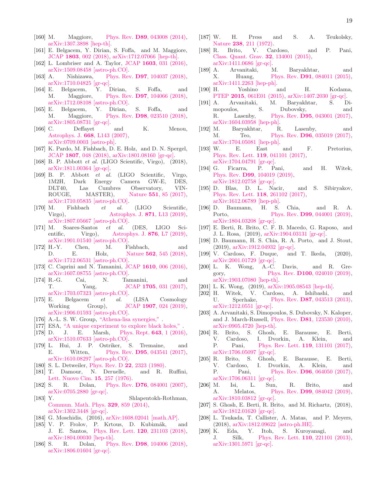- <span id="page-18-0"></span>[160] M. Maggiore, Phys. Rev. **D89**[, 043008 \(2014\),](http://dx.doi.org/10.1103/PhysRevD.89.043008) [arXiv:1307.3898 \[hep-th\].](http://arxiv.org/abs/1307.3898)
- <span id="page-18-1"></span>[161] E. Belgacem, Y. Dirian, S. Foffa, and M. Maggiore, JCAP 1803[, 002 \(2018\),](http://dx.doi.org/ 10.1088/1475-7516/2018/03/002) [arXiv:1712.07066 \[hep-th\].](http://arxiv.org/abs/1712.07066)
- <span id="page-18-2"></span>[162] L. Lombriser and A. Taylor, JCAP 1603[, 031 \(2016\),](http://dx.doi.org/10.1088/1475-7516/2016/03/031) [arXiv:1509.08458 \[astro-ph.CO\].](http://arxiv.org/abs/1509.08458)
- [163] A. Nishizawa, Phys. Rev. D97[, 104037 \(2018\),](http://dx.doi.org/10.1103/PhysRevD.97.104037) [arXiv:1710.04825 \[gr-qc\].](http://arxiv.org/abs/1710.04825)
- [164] E. Belgacem, Y. Dirian, S. Foffa, and M. Maggiore, Phys. Rev. D97[, 104066 \(2018\),](http://dx.doi.org/ 10.1103/PhysRevD.97.104066) [arXiv:1712.08108 \[astro-ph.CO\].](http://arxiv.org/abs/1712.08108)
- <span id="page-18-3"></span>[165] E. Belgacem, Y. Dirian, S. Foffa, and M. Maggiore, Phys. Rev. D98[, 023510 \(2018\),](http://dx.doi.org/ 10.1103/PhysRevD.98.023510) [arXiv:1805.08731 \[gr-qc\].](http://arxiv.org/abs/1805.08731)
- <span id="page-18-4"></span>[166] C. Deffayet and K. Menou, Astrophys. J. 668[, L143 \(2007\),](http://dx.doi.org/10.1086/522931) [arXiv:0709.0003 \[astro-ph\].](http://arxiv.org/abs/0709.0003)
- [167] K. Pardo, M. Fishbach, D. E. Holz, and D. N. Spergel, JCAP 1807[, 048 \(2018\),](http://dx.doi.org/10.1088/1475-7516/2018/07/048) [arXiv:1801.08160 \[gr-qc\].](http://arxiv.org/abs/1801.08160)
- <span id="page-18-5"></span>[168] B. P. Abbott *et al.* (LIGO Scientific, Virgo), (2018), [arXiv:1811.00364 \[gr-qc\].](http://arxiv.org/abs/1811.00364)
- <span id="page-18-6"></span>[169] B. P. Abbott *et al.* (LIGO Scientific, Virgo, 1M2H, Dark Energy Camera GW-E, DES, DLT40, Las Cumbres Observatory, VIN-ROUGE, MASTER), Nature 551[, 85 \(2017\),](http://dx.doi.org/10.1038/nature24471)  $[170] \begin{array}{ll} \text{arXiv:1710.05835 [astro-ph.CO]}.\\ \text{Fishbach} & et & al. \end{array}$
- Fishbach *et al.* (LIGO Scientific, Virgo), **[Astrophys. J.](http://dx.doi.org/10.3847/2041-8213/aaf96e) 871**, L13 (2019), [arXiv:1807.05667 \[astro-ph.CO\].](http://arxiv.org/abs/1807.05667)
- [171] M. Soares-Santos *et al.* (DES, LIGO Sci-entific, Virgo), [Astrophys. J.](http://dx.doi.org/10.3847/2041-8213/ab14f1) **876**, L7 (2019), [arXiv:1901.01540 \[astro-ph.CO\].](http://arxiv.org/abs/1901.01540)
- <span id="page-18-7"></span>[172] H.-Y. Chen, M. Fishbach, and D. E. Holz, Nature **562**[, 545 \(2018\),](http://dx.doi.org/10.1038/s41586-018-0606-0) [arXiv:1712.06531 \[astro-ph.CO\].](http://arxiv.org/abs/1712.06531)
- <span id="page-18-8"></span>[173] C. Caprini and N. Tamanini, JCAP 1610[, 006 \(2016\),](http://dx.doi.org/10.1088/1475-7516/2016/10/006) [arXiv:1607.08755 \[astro-ph.CO\].](http://arxiv.org/abs/1607.08755)
- <span id="page-18-9"></span>[174] R.-G. Cai, N. Tamanini, and T. Yang, JCAP 1705[, 031 \(2017\),](http://dx.doi.org/10.1088/1475-7516/2017/05/031) [arXiv:1703.07323 \[astro-ph.CO\].](http://arxiv.org/abs/1703.07323)
- <span id="page-18-10"></span>[175] E. Belgacem *et al.* (LISA Cosmology Working Group), JCAP 1907[, 024 \(2019\),](http://dx.doi.org/10.1088/1475-7516/2019/07/024) [arXiv:1906.01593 \[astro-ph.CO\].](http://arxiv.org/abs/1906.01593)
- <span id="page-18-11"></span>[176] A.-L. S. W. Group, ["Athena-lisa synergies,"](https://www.cosmos.esa.int/documents/678316/1700384/Athena_LISA_Whitepaper_Iss1.0.pdf) .
- <span id="page-18-12"></span>[177] ESA, ["A unique experiment to explore black holes,"](https://www.esa.int/Our_Activities/Space_Science/A_unique_experiment_to_explore_black_holes) .
- <span id="page-18-13"></span>[178] D. J. E. Marsh, [Phys. Rept.](http://dx.doi.org/10.1016/j.physrep.2016.06.005) 643, 1 (2016), [arXiv:1510.07633 \[astro-ph.CO\].](http://arxiv.org/abs/1510.07633)
- <span id="page-18-14"></span>[179] L. Hui, J. P. Ostriker, S. Tremaine, and E. Witten, Phys. Rev. **D95**[, 043541 \(2017\),](http://dx.doi.org/10.1103/PhysRevD.95.043541) [arXiv:1610.08297 \[astro-ph.CO\].](http://arxiv.org/abs/1610.08297)
- <span id="page-18-15"></span>[180] S. L. Detweiler, Phys. Rev. D 22[, 2323 \(1980\).](http://dx.doi.org/10.1103/PhysRevD.22.2323)
- [181] T. Damour, N. Deruelle, and R. Ruffini, [Lett. Nuovo Cim.](http://dx.doi.org/10.1007/BF02725534) 15, 257 (1976).
- <span id="page-18-24"></span>[182] S. R. Dolan, Phys. Rev. **D76**[, 084001 \(2007\),](http://dx.doi.org/10.1103/PhysRevD.76.084001) [arXiv:0705.2880 \[gr-qc\].](http://arxiv.org/abs/0705.2880)
- [183] Y. Shlapentokh-Rothman, [Commun. Math. Phys.](http://dx.doi.org/10.1007/s00220-014-2033-x) 329, 859 (2014), [arXiv:1302.3448 \[gr-qc\].](http://arxiv.org/abs/1302.3448)
- [184] G. Moschidis, (2016), [arXiv:1608.02041 \[math.AP\].](http://arxiv.org/abs/1608.02041)
- [185] V. P. Frolov, P. Krtous, D. Kubiznák, and J. E. Santos, [Phys. Rev. Lett.](http://dx.doi.org/10.1103/PhysRevLett.120.231103) 120, 231103 (2018), [arXiv:1804.00030 \[hep-th\].](http://arxiv.org/abs/1804.00030)
- <span id="page-18-16"></span>[186] S. R. Dolan, Phys. Rev. **D98**[, 104006 \(2018\),](http://dx.doi.org/10.1103/PhysRevD.98.104006) [arXiv:1806.01604 \[gr-qc\].](http://arxiv.org/abs/1806.01604)
- <span id="page-18-17"></span>[187] W. H. Press and S. A. Teukolsky, Nature 238[, 211 \(1972\).](http://dx.doi.org/10.1038/238211a0)<br>R. Brito, V. Car
- <span id="page-18-18"></span>[188] R. Brito, V. Cardoso, and P. Pani, [Class. Quant. Grav.](http://dx.doi.org/10.1088/0264-9381/32/13/134001) 32, 134001 (2015), [arXiv:1411.0686 \[gr-qc\].](http://arxiv.org/abs/1411.0686)
- <span id="page-18-31"></span>[189] A. Arvanitaki, M. Baryakhtar, and X. Huang, Phys. Rev. D91[, 084011 \(2015\),](http://dx.doi.org/10.1103/PhysRevD.91.084011) [arXiv:1411.2263 \[hep-ph\].](http://arxiv.org/abs/1411.2263)
- [190] H. Yoshino and H. Kodama, PTEP 2015[, 061E01 \(2015\),](http://dx.doi.org/10.1093/ptep/ptv067) [arXiv:1407.2030 \[gr-qc\].](http://arxiv.org/abs/1407.2030)
- <span id="page-18-32"></span>[191] A. Arvanitaki, M. Baryakhtar, S. Dimopoulos, S. Dubovsky, and R. Lasenby, Phys. Rev. D95[, 043001 \(2017\),](http://dx.doi.org/10.1103/PhysRevD.95.043001) [arXiv:1604.03958 \[hep-ph\].](http://arxiv.org/abs/1604.03958)
- <span id="page-18-36"></span>[192] M. Baryakhtar, R. Lasenby, and M. Teo, Phys. Rev. **D96**[, 035019 \(2017\),](http://dx.doi.org/10.1103/PhysRevD.96.035019) [arXiv:1704.05081 \[hep-ph\].](http://arxiv.org/abs/1704.05081)
- <span id="page-18-37"></span>[193] W. E. East and F. Pretorius, [Phys. Rev. Lett.](http://dx.doi.org/10.1103/PhysRevLett.119.041101) 119, 041101 (2017), [arXiv:1704.04791 \[gr-qc\].](http://arxiv.org/abs/1704.04791)
- <span id="page-18-19"></span>[194] G. Ficarra, P. Pani, and H. Witek, Phys. Rev. D99[, 104019 \(2019\),](http://dx.doi.org/10.1103/PhysRevD.99.104019) [arXiv:1812.02758 \[gr-qc\].](http://arxiv.org/abs/1812.02758)
- <span id="page-18-20"></span>[195] D. Blas, D. L. Nacir, and S. Sibiryakov, [Phys. Rev. Lett.](http://dx.doi.org/10.1103/PhysRevLett.118.261102) 118, 261102 (2017), [arXiv:1612.06789 \[hep-ph\].](http://arxiv.org/abs/1612.06789)
- <span id="page-18-27"></span>[196] D. Baumann, H. S. Chia, and R. A. Porto, Phys. Rev. **D99**[, 044001 \(2019\),](http://dx.doi.org/10.1103/PhysRevD.99.044001) [arXiv:1804.03208 \[gr-qc\].](http://arxiv.org/abs/1804.03208)
- <span id="page-18-28"></span>[197] E. Berti, R. Brito, C. F. B. Macedo, G. Raposo, and J. L. Rosa, (2019), [arXiv:1904.03131 \[gr-qc\].](http://arxiv.org/abs/1904.03131)
- <span id="page-18-33"></span>[198] D. Baumann, H. S. Chia, R. A. Porto, and J. Stout, (2019), [arXiv:1912.04932 \[gr-qc\].](http://arxiv.org/abs/1912.04932)
- <span id="page-18-21"></span>[199] V. Cardoso, F. Duque, and T. Ikeda, (2020), [arXiv:2001.01729 \[gr-qc\].](http://arxiv.org/abs/2001.01729)
- <span id="page-18-22"></span>[200] L. K. Wong, A.-C. Davis, and R. Gregory, Phys. Rev. **D100**[, 024010 \(2019\),](http://dx.doi.org/10.1103/PhysRevD.100.024010) [arXiv:1903.07080 \[hep-th\].](http://arxiv.org/abs/1903.07080)
- <span id="page-18-23"></span>[201] L. K. Wong, (2019), [arXiv:1905.08543 \[hep-th\].](http://arxiv.org/abs/1905.08543)
- <span id="page-18-25"></span>[202] H. Witek, V. Cardoso, A. Ishibashi, and U. Sperhake, Phys. Rev. **D87**[, 043513 \(2013\),](http://dx.doi.org/10.1103/PhysRevD.87.043513) [arXiv:1212.0551 \[gr-qc\].](http://arxiv.org/abs/1212.0551)
- <span id="page-18-26"></span>[203] A. Arvanitaki, S. Dimopoulos, S. Dubovsky, N. Kaloper, and J. March-Russell, Phys. Rev. D81[, 123530 \(2010\),](http://dx.doi.org/10.1103/PhysRevD.81.123530) [arXiv:0905.4720 \[hep-th\].](http://arxiv.org/abs/0905.4720)
- <span id="page-18-29"></span>[204] R. Brito, S. Ghosh, E. Barausse, E. Berti, V. Cardoso, I. Dvorkin, A. Klein, and P. Pani, [Phys. Rev. Lett.](http://dx.doi.org/10.1103/PhysRevLett.119.131101) 119, 131101 (2017), [arXiv:1706.05097 \[gr-qc\].](http://arxiv.org/abs/1706.05097)
- <span id="page-18-35"></span>[205] R. Brito, S. Ghosh, E. Barausse, E. Berti, V. Cardoso, I. Dvorkin, A. Klein, and P. Pani, Phys. Rev. **D96**[, 064050 \(2017\),](http://dx.doi.org/10.1103/PhysRevD.96.064050) [arXiv:1706.06311 \[gr-qc\].](http://arxiv.org/abs/1706.06311)
- [206] M. Isi, L. Sun, R. Brito, and A. Melatos, Phys. Rev. **D99**[, 084042 \(2019\),](http://dx.doi.org/ 10.1103/PhysRevD.99.084042) [arXiv:1810.03812 \[gr-qc\].](http://arxiv.org/abs/1810.03812)
- [207] S. Ghosh, E. Berti, R. Brito, and M. Richartz, (2018), [arXiv:1812.01620 \[gr-qc\].](http://arxiv.org/abs/1812.01620)
- <span id="page-18-30"></span>[208] L. Tsukada, T. Callister, A. Matas, and P. Meyers, (2018), [arXiv:1812.09622 \[astro-ph.HE\].](http://arxiv.org/abs/1812.09622)
- <span id="page-18-34"></span>[209] K. Eda, Y. Itoh, S. Kuroyanagi, and J. Silk, [Phys. Rev. Lett.](http://dx.doi.org/ 10.1103/PhysRevLett.110.221101) 110, 221101 (2013), [arXiv:1301.5971 \[gr-qc\].](http://arxiv.org/abs/1301.5971)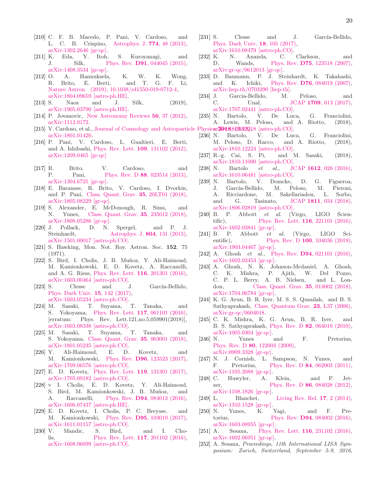- [210] C. F. B. Macedo, P. Pani, V. Cardoso, and L. C. B. Crispino, [Astrophys. J.](http://dx.doi.org/10.1088/0004-637X/774/1/48) 774, 48 (2013), [arXiv:1302.2646 \[gr-qc\].](http://arxiv.org/abs/1302.2646)
- <span id="page-19-30"></span>[211] K. Eda, Y. Itoh, S. Kuroyanagi, and J. Silk, Phys. Rev. **D91**, 044045 (2015), J. Silk, Phys. Rev. D91[, 044045 \(2015\),](http://dx.doi.org/ 10.1103/PhysRevD.91.044045) [arXiv:1408.3534 \[gr-qc\].](http://arxiv.org/abs/1408.3534)
- [212] O. A. Hannuksela, K. W. K. Wong, R. Brito, E. Berti, and T. G. F. Li, [Nature Astron. \(2019\), 10.1038/s41550-019-0712-4,](http://dx.doi.org/ 10.1038/s41550-019-0712-4) [arXiv:1804.09659 \[astro-ph.HE\].](http://arxiv.org/abs/1804.09659)
- <span id="page-19-0"></span>[213] S. Naoz and J. Silk, (2019), [arXiv:1905.03790 \[astro-ph.HE\].](http://arxiv.org/abs/1905.03790)
- <span id="page-19-1"></span>[214] P. Jovanovic, [New Astronomy Reviews](http://dx.doi.org/10.1016/j.newar.2011.11.002) 56, 37 (2012), [arXiv:1112.0172.](http://arxiv.org/abs/1112.0172)
- <span id="page-19-2"></span>[215] V. Cardoso, et al., Journal of Cosmology and Astroparticle Physicar2018,8(2012),918 [astro-ph.CO]. [arXiv:1801.01420.](http://arxiv.org/abs/1801.01420)
- <span id="page-19-3"></span>[216] P. Pani, V. Cardoso, L. Gualtieri, E. Berti, and A. Ishibashi, [Phys. Rev. Lett.](http://dx.doi.org/ 10.1103/PhysRevLett.109.131102) 109, 131102 (2012), [arXiv:1209.0465 \[gr-qc\]](http://arxiv.org/abs/1209.0465) .
- [217] R. Brito, V. Cardoso, and P. Pani, Phys. Rev. D 88[, 023514 \(2013\),](http://dx.doi.org/10.1103/PhysRevD.88.023514) [arXiv:1304.6725 \[gr-qc\].](http://arxiv.org/abs/1304.6725)
- [218] E. Barausse, R. Brito, V. Cardoso, I. Dvorkin, and P. Pani, [Class. Quant. Grav.](http://dx.doi.org/ 10.1088/1361-6382/aae1de) 35, 20LT01 (2018), [arXiv:1805.08229 \[gr-qc\].](http://arxiv.org/abs/1805.08229)
- <span id="page-19-4"></span>[219] S. Alexander, E. McDonough, R. Sims, and N. Yunes, [Class. Quant. Grav.](http://dx.doi.org/10.1088/1361-6382/aaeb5c) 35, 235012 (2018), [arXiv:1808.05286 \[gr-qc\].](http://arxiv.org/abs/1808.05286)
- <span id="page-19-5"></span>[220] J. Pollack, D. N. Spergel, and P. J. Steinhardt, Astrophys. J.  $804$ , 131 (2015), [Astrophys. J.](http://dx.doi.org/10.1088/0004-637X/804/2/131) 804, 131 (2015), [arXiv:1501.00017 \[astro-ph.CO\].](http://arxiv.org/abs/1501.00017)
- <span id="page-19-6"></span>[221] S. Hawking, Mon. Not. Roy. Astron. Soc. 152, 75  $(1971)$ .
- <span id="page-19-7"></span>[222] S. Bird, I. Cholis, J. B. Muñoz, Y. Ali-Haimoud, M. Kamionkowski, E. D. Kovetz, A. Raccanelli, and A. G. Riess, [Phys. Rev. Lett.](http://dx.doi.org/ 10.1103/PhysRevLett.116.201301) 116, 201301 (2016), [arXiv:1603.00464 \[astro-ph.CO\].](http://arxiv.org/abs/1603.00464)
- [223] S. Clesse and J. García-Bellido, [Phys. Dark Univ.](http://dx.doi.org/10.1016/j.dark.2016.10.002) 15, 142 (2017), [arXiv:1603.05234 \[astro-ph.CO\].](http://arxiv.org/abs/1603.05234)
- [224] M. Sasaki, T. Suyama, T. Tanaka, and S. Yokoyama, [Phys. Rev. Lett.](http://dx.doi.org/ 10.1103/PhysRevLett.121.059901, 10.1103/PhysRevLett.117.061101) 117, 061101 (2016), [erratum: Phys. Rev. Lett.121,no.5,059901(2018)], [arXiv:1603.08338 \[astro-ph.CO\].](http://arxiv.org/abs/1603.08338)
- <span id="page-19-8"></span>[225] M. Sasaki, T. Suyama, T. Tanaka, and S. Yokoyama, [Class. Quant. Grav.](http://dx.doi.org/ 10.1088/1361-6382/aaa7b4) 35, 063001 (2018), [arXiv:1801.05235 \[astro-ph.CO\].](http://arxiv.org/abs/1801.05235)
- <span id="page-19-9"></span>[226] Y. Ali-Haimoud, E. D. Kovetz, and M. Kamionkowski, Phys. Rev. D96[, 123523 \(2017\),](http://dx.doi.org/10.1103/PhysRevD.96.123523) [arXiv:1709.06576 \[astro-ph.CO\].](http://arxiv.org/abs/1709.06576)
- <span id="page-19-10"></span>[227] E. D. Kovetz, [Phys. Rev. Lett.](http://dx.doi.org/10.1103/PhysRevLett.119.131301) 119, 131301 (2017), [arXiv:1705.09182 \[astro-ph.CO\].](http://arxiv.org/abs/1705.09182)
- <span id="page-19-11"></span>[228] v I. Cholis, E. D. Kovetz, Y. Ali-Haimoud, S. Bird, M. Kamionkowski, J. B. Muñoz, and A. Raccanelli, Phys. Rev. D94[, 084013 \(2016\),](http://dx.doi.org/ 10.1103/PhysRevD.94.084013) [arXiv:1606.07437 \[astro-ph.HE\].](http://arxiv.org/abs/1606.07437)
- <span id="page-19-12"></span>[229] E. D. Kovetz, I. Cholis, P. C. Breysse, and M. Kamionkowski, Phys. Rev. D95[, 103010 \(2017\),](http://dx.doi.org/10.1103/PhysRevD.95.103010) [arXiv:1611.01157 \[astro-ph.CO\].](http://arxiv.org/abs/1611.01157)
- <span id="page-19-13"></span>[230] V. Mandic, S. Bird, and I. Cholis, [Phys. Rev. Lett.](http://dx.doi.org/10.1103/PhysRevLett.117.201102) 117, 201102 (2016), [arXiv:1608.06699 \[astro-ph.CO\].](http://arxiv.org/abs/1608.06699)
- <span id="page-19-14"></span>[231] S. Clesse and J. García-Bellido, [Phys. Dark Univ.](http://dx.doi.org/10.1016/j.dark.2017.10.001) 18, 105 (2017), [arXiv:1610.08479 \[astro-ph.CO\].](http://arxiv.org/abs/1610.08479)
- <span id="page-19-15"></span>[232] K. N. Ananda, C. Clarkson, and D. Wands, Phys. Rev. **D75**[, 123518 \(2007\),](http://dx.doi.org/10.1103/PhysRevD.75.123518) [arXiv:gr-qc/0612013 \[gr-qc\].](http://arxiv.org/abs/gr-qc/0612013)
- [233] D. Baumann, P. J. Steinhardt, K. Takahashi, and K. Ichiki, Phys. Rev. D76[, 084019 \(2007\),](http://dx.doi.org/10.1103/PhysRevD.76.084019) [arXiv:hep-th/0703290 \[hep-th\].](http://arxiv.org/abs/hep-th/0703290)
- <span id="page-19-16"></span>[234] J. Garcia-Bellido, M. Peloso, and C. Unal, JCAP 1709[, 013 \(2017\),](http://dx.doi.org/10.1088/1475-7516/2017/09/013) [arXiv:1707.02441 \[astro-ph.CO\].](http://arxiv.org/abs/1707.02441)
- <span id="page-19-17"></span>[235] N. Bartolo, V. De Luca, G. Franciolini, A. Lewis, M. Peloso, and A. Riotto, (2018),
- [236] N. Bartolo, V. De Luca, G. Franciolini, M. Peloso, D. Racco, and A. Riotto, (2018), [arXiv:1810.12224 \[astro-ph.CO\].](http://arxiv.org/abs/1810.12224)
- <span id="page-19-18"></span>[237] R.-g. Cai, S. Pi, and M. Sasaki, (2018), [arXiv:1810.11000 \[astro-ph.CO\].](http://arxiv.org/abs/1810.11000)
- <span id="page-19-19"></span>[238] N. Bartolo *et al.*, JCAP 1612[, 026 \(2016\),](http://dx.doi.org/10.1088/1475-7516/2016/12/026) [arXiv:1610.06481 \[astro-ph.CO\].](http://arxiv.org/abs/1610.06481)
- <span id="page-19-20"></span>[239] N. Bartolo, V. Domcke, D. G. Figueroa, J. García-Bellido, M. Peloso, M. Pieroni, A. Ricciardone, M. Sakellariadou, L. Sorbo, and G. Tasinato, JCAP 1811[, 034 \(2018\),](http://dx.doi.org/ 10.1088/1475-7516/2018/11/034) [arXiv:1806.02819 \[astro-ph.CO\].](http://arxiv.org/abs/1806.02819)
- <span id="page-19-21"></span>[240] B. P. Abbott *et al.* (Virgo, LIGO Scien-tific), [Phys. Rev. Lett.](http://dx.doi.org/10.1103/PhysRevLett.116.221101) **116**, 221101 (2016), [arXiv:1602.03841 \[gr-qc\].](http://arxiv.org/abs/1602.03841)
- <span id="page-19-22"></span>[241] B. P. Abbott *et al.* (Virgo, LIGO Sci-entific), Phys. Rev. D 100[, 104036 \(2019\),](http://dx.doi.org/10.1103/PhysRevD.100.104036) [arXiv:1903.04467 \[gr-qc\].](http://arxiv.org/abs/1903.04467)
- [242] A. Ghosh *et al.*, Phys. Rev. D94[, 021101 \(2016\),](http://dx.doi.org/10.1103/PhysRevD.94.021101) [arXiv:1602.02453 \[gr-qc\].](http://arxiv.org/abs/1602.02453)
- <span id="page-19-23"></span>[243] A. Ghosh, N. K. Johnson-Mcdaniel, A. Ghosh, C. K. Mishra, P. Ajith, W. Del Pozzo, C. P. L. Berry, A. B. Nielsen, and L. Lon-don, [Class. Quant. Grav.](http://dx.doi.org/ 10.1088/1361-6382/aa972e) **35**, 014002 (2018), [arXiv:1704.06784 \[gr-qc\].](http://arxiv.org/abs/1704.06784)
- <span id="page-19-24"></span>[244] K. G. Arun, B. R. Iyer, M. S. S. Qusailah, and B. S. Sathyaprakash, [Class. Quantum Grav.](http://dx.doi.org/10.1088/0264-9381/23/9/L01) 23, L37 (2006), [arXiv:gr-qc/0604018.](http://arxiv.org/abs/gr-qc/0604018)
- [245] C. K. Mishra, K. G. Arun, B. R. Iyer, and B. S. Sathyaprakash, Phys. Rev. D 82[, 064010 \(2010\),](http://dx.doi.org/10.1103/PhysRevD.82.064010) [arXiv:1005.0304 \[gr-qc\].](http://arxiv.org/abs/1005.0304)
- <span id="page-19-26"></span>[246] N. Yunes and F. Pretorius, Phys. Rev. D 80[, 122003 \(2009\),](http://dx.doi.org/10.1103/PhysRevD.80.122003) [arXiv:0909.3328 \[gr-qc\].](http://arxiv.org/abs/0909.3328)
- [247] N. J. Cornish, L. Sampson, N. Yunes, and F. Pretorius, Phys. Rev. D 84[, 062003 \(2011\),](http://dx.doi.org/ 10.1103/PhysRevD.84.062003) [arXiv:1105.2088 \[gr-qc\].](http://arxiv.org/abs/1105.2088)
- <span id="page-19-25"></span>[248] C. Huwyler, A. Klein, and P. Jetzer, Phys. Rev. D **86**[, 084028 \(2012\),](http://dx.doi.org/10.1103/PhysRevD.86.084028) [arXiv:1108.1826 \[gr-qc\].](http://arxiv.org/abs/1108.1826)
- <span id="page-19-29"></span>[249] L. Blanchet, [Living Rev. Rel.](http://dx.doi.org/10.12942/lrr-2014-2) 17, 2 (2014), [arXiv:1310.1528 \[gr-qc\].](http://arxiv.org/abs/1310.1528)
- <span id="page-19-27"></span>[250] N. Yunes, K. Yagi, and F. Pretorius, Phys. Rev. **D94**[, 084002 \(2016\),](http://dx.doi.org/10.1103/PhysRevD.94.084002) arXiv:1603.08955 $\left[ \text{gr-qc}\right]$
- <span id="page-19-28"></span>[251] A. Sesana, [Phys. Rev. Lett.](http://dx.doi.org/10.1103/PhysRevLett.116.231102) 116, 231102 (2016), [arXiv:1602.06951 \[gr-qc\].](http://arxiv.org/abs/1602.06951)
- [252] A. Sesana, *Proceedings, 11th International LISA Symposium: Zurich, Switzerland, September 5-9, 2016*,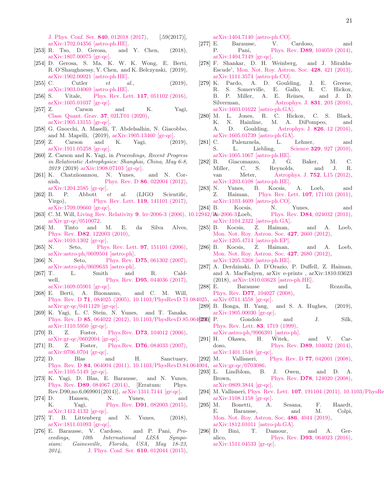[J. Phys. Conf. Ser.](http://dx.doi.org/10.1088/1742-6596/840/1/012018) 840, 012018 (2017), [,59(2017)], [arXiv:1702.04356 \[astro-ph.HE\].](http://arxiv.org/abs/1702.04356)

- [253] R. Tso, D. Gerosa, and Y. Chen, (2018), [arXiv:1807.00075 \[gr-qc\].](http://arxiv.org/abs/1807.00075)
- [254] D. Gerosa, S. Ma, K. W. K. Wong, E. Berti, R. O'Shaughnessy, Y. Chen, and K. Belczynski, (2019), [arXiv:1902.00021 \[astro-ph.HE\].](http://arxiv.org/abs/1902.00021)
- <span id="page-20-0"></span>[255] C. Cutler *et al.*, (2019), [arXiv:1903.04069 \[astro-ph.HE\].](http://arxiv.org/abs/1903.04069)
- <span id="page-20-1"></span>[256] S. Vitale, [Phys. Rev. Lett.](http://dx.doi.org/10.1103/PhysRevLett.117.051102) **117**, 051102 (2016), [arXiv:1605.01037 \[gr-qc\].](http://arxiv.org/abs/1605.01037)
- [257] Z. Carson and K. Yagi, [Class. Quant. Grav.](http://dx.doi.org/10.1088/1361-6382/ab5c9a) 37, 02LT01 (2020), [arXiv:1905.13155 \[gr-qc\].](http://arxiv.org/abs/1905.13155)
- [258] G. Gnocchi, A. Maselli, T. Abdelsalhin, N. Giacobbo, and M. Mapelli, (2019), [arXiv:1905.13460 \[gr-qc\].](http://arxiv.org/abs/1905.13460)
- [259] Z. Carson and K. Yagi, (2019), [arXiv:1911.05258 \[gr-qc\].](http://arxiv.org/abs/1911.05258)
- <span id="page-20-2"></span>[260] Z. Carson and K. Yagi, in *Proceedings, Recent Progress in Relativistic Astrophysics: Shanghai, China, May 6-8, 2019* (2019) [arXiv:1908.07103 \[gr-qc\].](http://arxiv.org/abs/1908.07103)
- <span id="page-20-3"></span>[261] K. Chatziioannou, N. Yunes, and N. Cornish, Phys. Rev. D **86**[, 022004 \(2012\),](http://dx.doi.org/10.1103/PhysRevD.86.022004) [arXiv:1204.2585 \[gr-qc\].](http://arxiv.org/abs/1204.2585)
- <span id="page-20-4"></span>[262] B. P. Abbott *et al.* (LIGO Scientific, Virgo), [Phys. Rev. Lett.](http://dx.doi.org/10.1103/PhysRevLett.119.141101) **119**, 141101 (2017), [arXiv:1709.09660 \[gr-qc\].](http://arxiv.org/abs/1709.09660)
- <span id="page-20-5"></span>[263] C. M. Will, Living Rev. Relativity 9, lrr-2006-3 (2006), 10.12942/lar-2006-3, Loeb, [arXiv:gr-qc/0510072.](http://arxiv.org/abs/gr-qc/0510072)
- <span id="page-20-6"></span>[264] M. Tinto and M. E. da Silva Alves, Phys. Rev. D82[, 122003 \(2010\),](http://dx.doi.org/10.1103/PhysRevD.82.122003) [arXiv:1010.1302 \[gr-qc\].](http://arxiv.org/abs/1010.1302)
- <span id="page-20-7"></span>[265] N. Seto, [Phys. Rev. Lett.](http://dx.doi.org/10.1103/PhysRevLett.97.151101) **97**, 151101 (2006), [arXiv:astro-ph/0609504 \[astro-ph\].](http://arxiv.org/abs/astro-ph/0609504)
- [266] N. Seto, Phys. Rev. **D75**[, 061302 \(2007\),](http://dx.doi.org/10.1103/PhysRevD.75.061302) [arXiv:astro-ph/0609633 \[astro-ph\].](http://arxiv.org/abs/astro-ph/0609633)
- <span id="page-20-8"></span>[267] T. L. Smith and R. Caldwell, Phys. Rev. **D95**[, 044036 \(2017\),](http://dx.doi.org/10.1103/PhysRevD.95.044036) [arXiv:1609.05901 \[gr-qc\].](http://arxiv.org/abs/1609.05901)
- <span id="page-20-9"></span>[268] E. Berti, A. Buonanno, and C. M. Will, Phys. Rev. D 71[, 084025 \(2005\), 10.1103/PhysRevD.71.084025,](http://dx.doi.org/10.1103/PhysRevD.71.084025) [arXiv:0711.4558 \[gr-qc\].](http://arxiv.org/abs/0711.4558) [arXiv:gr-qc/0411129 \[gr-qc\].](http://arxiv.org/abs/gr-qc/0411129)
- <span id="page-20-10"></span>[269] K. Yagi, L. C. Stein, N. Yunes, and T. Tanaka, Phys. Rev. D 85, 064022 (2012), 10.1103/PhysRevD.85.064(220) P. [arXiv:1110.5950 \[gr-qc\].](http://arxiv.org/abs/1110.5950)
- <span id="page-20-11"></span>[270] B. Z. Foster, Phys.Rev. **D73**[, 104012 \(2006\),](http://dx.doi.org/10.1103/PhysRevD.75.129904, 10.1103/PhysRevD.73.104012) [arXiv:gr-qc/0602004 \[gr-qc\].](http://arxiv.org/abs/gr-qc/0602004)
- [271] B. Z. Foster, Phys.Rev.  $D76$ [, 084033 \(2007\),](http://dx.doi.org/10.1103/PhysRevD.76.084033) [arXiv:0706.0704 \[gr-qc\].](http://arxiv.org/abs/0706.0704)
- [272] D. Blas and H. Sanctuary, Phys. Rev. D 84[, 064004 \(2011\), 10.1103/PhysRevD.84.064004,](http://dx.doi.org/10.1103/PhysRevD.84.064004) [arXiv:gr-qc/0703086.](http://arxiv.org/abs/gr-qc/0703086) [arXiv:1105.5149 \[gr-qc\].](http://arxiv.org/abs/1105.5149)
- [273] K. Yagi, D. Blas, E. Barausse, and N. Yunes, Phys. Rev. D89[, 084067 \(2014\),](http://dx.doi.org/ 10.1103/PhysRevD.90.069902, 10.1103/PhysRevD.90.069901, 10.1103/PhysRevD.89.084067) [Erratum: Phys. Rev.D90,no.6,069901(2014)], [arXiv:1311.7144 \[gr-qc\].](http://arxiv.org/abs/1311.7144)
- <span id="page-20-12"></span>[274] D. Hansen, N. Yunes, and K. Yagi, Phys. Rev. **D91**[, 082003 \(2015\),](http://dx.doi.org/10.1103/PhysRevD.91.082003) [arXiv:1412.4132 \[gr-qc\].](http://arxiv.org/abs/1412.4132)
- <span id="page-20-13"></span>[275] T. B. Littenberg and N. Yunes, (2018), [arXiv:1811.01093 \[gr-qc\].](http://arxiv.org/abs/1811.01093)
- <span id="page-20-14"></span>[276] E. Barausse, V. Cardoso, and P. Pani, *Proceedings, 10th International LISA Symposium: Gainesville, Florida, USA, May 18-23, 2014*, [J. Phys. Conf. Ser.](http://dx.doi.org/10.1088/1742-6596/610/1/012044) 610, 012044 (2015),

[arXiv:1404.7140 \[astro-ph.CO\].](http://arxiv.org/abs/1404.7140)

- <span id="page-20-15"></span>[277] E. Barausse, V. Cardoso, and P. Pani, Phys. Rev. D89[, 104059 \(2014\),](http://dx.doi.org/10.1103/PhysRevD.89.104059) [arXiv:1404.7149 \[gr-qc\].](http://arxiv.org/abs/1404.7149)
- <span id="page-20-16"></span>[278] F. Shankar, D. H. Weinberg, and J. Miralda-Escude', [Mon. Not. Roy. Astron. Soc.](http://dx.doi.org/10.1093/mnras/sts026) 428, 421 (2013), [arXiv:1111.3574 \[astro-ph.CO\].](http://arxiv.org/abs/1111.3574)
- [279] K. Pardo, A. D. Goulding, J. E. Greene, R. S. Somerville, E. Gallo, R. C. Hickox, B. P. Miller, A. E. Reines, and J. D. Silverman, **[Astrophys. J.](http://dx.doi.org/10.3847/0004-637X/831/2/203) 831**, 203 (2016), [arXiv:1603.01622 \[astro-ph.GA\].](http://arxiv.org/abs/1603.01622)
- <span id="page-20-17"></span>[280] M. L. Jones, R. C. Hickox, C. S. Black, K. N. Hainline, M. A. DiPompeo, and A. D. Goulding, [Astrophys. J.](http://dx.doi.org/10.3847/0004-637X/826/1/12) 826, 12 (2016), [arXiv:1605.01739 \[astro-ph.GA\].](http://arxiv.org/abs/1605.01739)
- <span id="page-20-18"></span>[281] C. Palenzuela, L. Lehner, and S. L. Liebling, Science **329**[, 927 \(2010\),](http://dx.doi.org/10.1126/science.1191766) [arXiv:1005.1067 \[astro-ph.HE\].](http://arxiv.org/abs/1005.1067)
- <span id="page-20-19"></span>[282] B. Giacomazzo, J. G. Baker, M. C. Miller, C. S. Reynolds, and J. R. van Meter, [Astrophys. J.](http://dx.doi.org/10.1088/2041-8205/752/1/L15) **752**, L15 (2012), [arXiv:1203.6108 \[astro-ph.HE\].](http://arxiv.org/abs/1203.6108)
- <span id="page-20-20"></span>[283] N. Yunes, B. Kocsis, A. Loeb, and Z. Haiman, [Phys. Rev. Lett.](http://dx.doi.org/ 10.1103/PhysRevLett.107.171103) 107, 171103 (2011), [arXiv:1103.4609 \[astro-ph.CO\].](http://arxiv.org/abs/1103.4609)
- [284] B. Kocsis, N. Yunes, and
- Phys. Rev. **D84**[, 024032 \(2011\),](http://dx.doi.org/10.1103/PhysRevD.86.049907, 10.1103/PhysRevD.84.024032) [arXiv:1104.2322 \[astro-ph.GA\].](http://arxiv.org/abs/1104.2322)
- [285] B. Kocsis, Z. Haiman, and A. Loeb, [Mon. Not. Roy. Astron. Soc.](http://dx.doi.org/10.1111/j.1365-2966.2012.22129.x) 427, 2660 (2012), [arXiv:1205.4714 \[astro-ph.EP\].](http://arxiv.org/abs/1205.4714)
- [286] B. Kocsis, Z. Haiman, and A. Loeb, [Mon. Not. Roy. Astron. Soc.](http://dx.doi.org/10.1111/j.1365-2966.2012.22118.x) 427, 2680 (2012), [arXiv:1205.5268 \[astro-ph.HE\].](http://arxiv.org/abs/1205.5268)
- <span id="page-20-21"></span>[287] A. Derdzinski, D. D'Orazio, P. Duffell, Z. Haiman, and A. MacFadyen, arXiv e-prints , arXiv:1810.03623 (2018), [arXiv:1810.03623 \[astro-ph.HE\].](http://arxiv.org/abs/1810.03623)
- <span id="page-20-22"></span>[288] E. Barausse and L. Rezzolla, Phys. Rev. D77[, 104027 \(2008\),](http://dx.doi.org/10.1103/PhysRevD.77.104027)
- 
- <span id="page-20-24"></span><span id="page-20-23"></span>[289] B. Bonga, H. Yang, and S. A. Hughes, (2019), [arXiv:1905.00030 \[gr-qc\].](http://arxiv.org/abs/1905.00030)
	- Gondolo and J. Silk, [Phys. Rev. Lett.](http://dx.doi.org/10.1103/PhysRevLett.83.1719) 83, 1719 (1999), [arXiv:astro-ph/9906391 \[astro-ph\].](http://arxiv.org/abs/astro-ph/9906391)
- <span id="page-20-25"></span>[291] H. Okawa, H. Witek, and V. Cardoso, Phys. Rev. **D89**[, 104032 \(2014\),](http://dx.doi.org/10.1103/PhysRevD.89.104032)
- <span id="page-20-26"></span>[arXiv:1401.1548 \[gr-qc\].](http://arxiv.org/abs/1401.1548)<br>[292] M. Vallisneri, P Vallisneri, Phys. Rev. D **77**[, 042001 \(2008\),](http://dx.doi.org/10.1103/PhysRevD.77.042001)
- 
- [293] L. Lindblom, B. J. Owen, and D. A. Brown, Phys. Rev. **D78**[, 124020 \(2008\),](http://dx.doi.org/10.1103/PhysRevD.78.124020) [arXiv:0809.3844 \[gr-qc\].](http://arxiv.org/abs/0809.3844)
- <span id="page-20-27"></span>[294] M. Vallisneri, Phys. Rev. Lett.  $107$ , 191104 (2011), 10.1103/PhysRe [arXiv:1108.1158 \[gr-qc\].](http://arxiv.org/abs/1108.1158)
- <span id="page-20-28"></span>[295] M. Bonetti, A. Sesana, F. Haardt, E. Barausse, and M. Colpi, [Mon. Not. Roy. Astron. Soc.](http://dx.doi.org/ 10.1093/mnras/stz903) 486, 4044 (2019), [arXiv:1812.01011 \[astro-ph.GA\].](http://arxiv.org/abs/1812.01011)
- <span id="page-20-29"></span>[296] D. Bini, T. Damour, and A. Geralico, Phys. Rev. **D93**[, 064023 \(2016\),](http://dx.doi.org/10.1103/PhysRevD.93.064023) [arXiv:1511.04533 \[gr-qc\].](http://arxiv.org/abs/1511.04533)